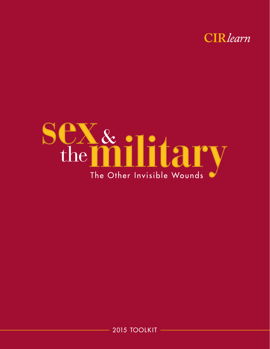

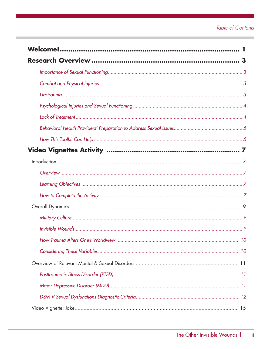#### Table of Contents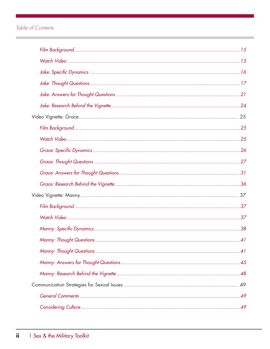#### Table of Contents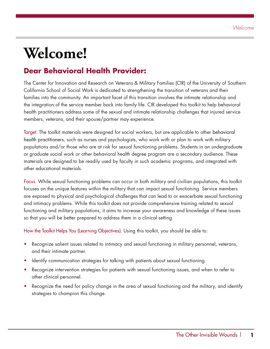# **Welcome!**

# **Dear Behavioral Health Provider:**

The Center for Innovation and Research on Veterans & Military Families (CIR) of the University of Southern California School of Social Work is dedicated to strengthening the transition of veterans and their families into the community. An important facet of this transition involves the intimate relationship and the integration of the service member back into family life. CIR developed this toolkit to help behavioral health practitioners address some of the sexual and intimate relationship challenges that injured service members, veterans, and their spouse/partner may experience.

Target. The toolkit materials were designed for social workers, but are applicable to other behavioral health practitioners, such as nurses and psychologists, who work with or plan to work with military populations and/or those who are at risk for sexual functioning problems. Students in an undergraduate or graduate social work or other behavioral health degree program are a secondary audience. These materials are designed to be readily used by faculty in such academic programs, and integrated with other educational materials.

Focus. While sexual functioning problems can occur in both military and civilian populations, this toolkit focuses on the unique features within the military that can impact sexual functioning. Service members are exposed to physical and psychological challenges that can lead to or exacerbate sexual functioning and intimacy problems. While this toolkit does not provide comprehensive training related to sexual functioning and military populations, it aims to increase your awareness and knowledge of these issues so that you will be better prepared to address them in a clinical setting.

How the Toolkit Helps You (Learning Objectives). Using this toolkit, you should be able to:

- Recognize salient issues related to intimacy and sexual functioning in military personnel, veterans, and their intimate partner.
- Identify communication strategies for talking with patients about sexual functioning.
- Recognize intervention strategies for patients with sexual functioning issues, and when to refer to other clinical personnel.
- Recognize the need for policy change in the area of sexual functioning and the military, and identify strategies to champion this change.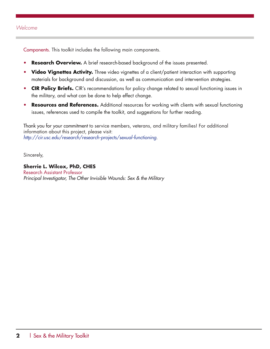#### *Welcome*

Components. This toolkit includes the following main components.

- **Research Overview.** A brief research-based background of the issues presented.
- **Video Vignettes Activity.** Three video vignettes of a client/patient interaction with supporting materials for background and discussion, as well as communication and intervention strategies.
- **CIR Policy Briefs.** CIR's recommendations for policy change related to sexual functioning issues in the military, and what can be done to help effect change.
- **Resources and References.** Additional resources for working with clients with sexual functioning issues, references used to compile the toolkit, and suggestions for further reading.

Thank you for your commitment to service members, veterans, and military families! For additional information about this project, please visit: *http://cir.usc.edu/research/research-projects/sexual-functioning*.

Sincerely,

**Sherrie L. Wilcox, PhD, CHES** Research Assistant Professor *Principal Investigator, The Other Invisible Wounds: Sex & the Military*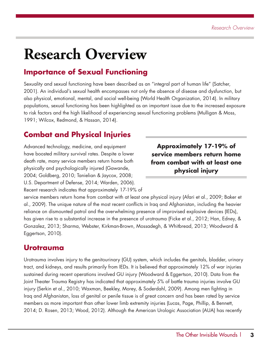# **Research Overview**

# **Importance of Sexual Functioning**

Sexuality and sexual functioning have been described as an "integral part of human life" (Satcher, 2001). An individual's sexual health encompasses not only the absence of disease and dysfunction, but also physical, emotional, mental, and social well-being (World Health Organization, 2014). In military populations, sexual functioning has been highlighted as an important issue due to the increased exposure to risk factors and the high likelihood of experiencing sexual functioning problems (Mulligan & Moss, 1991; Wilcox, Redmond, & Hassan, 2014).

# **Combat and Physical Injuries**

Advanced technology, medicine, and equipment have boosted military survival rates. Despite a lower death rate, many service members return home both physically and psychologically injured (Gawande, 2004; Goldberg, 2010; Tanielian & Jaycox, 2008; U.S. Department of Defense, 2014; Warden, 2006). Recent research indicates that approximately 17-19% of

**Approximately 17-19% of service members return home from combat with at least one physical injury**

service members return home from combat with at least one physical injury (Afari et al., 2009; Baker et al., 2009). The unique nature of the most recent conflicts in Iraq and Afghanistan, including the heavier reliance on dismounted patrol and the overwhelming presence of improvised explosive devices (IEDs), has given rise to a substantial increase in the presence of urotrauma (Ficke et al., 2012; Han, Edney, & Gonzalez, 2013; Sharma, Webster, Kirkman-Brown, Mossadegh, & Whitbread, 2013; Woodward & Eggertson, 2010).

## **Urotrauma**

Urotrauma involves injury to the genitourinary (GU) system, which includes the genitals, bladder, urinary tract, and kidneys, and results primarily from IEDs. It is believed that approximately 12% of war injuries sustained during recent operations involved GU injury (Woodward & Eggertson, 2010). Data from the Joint Theater Trauma Registry has indicated that approximately 5% of battle trauma injuries involve GU injury (Serkin et al., 2010; Waxman, Beekley, Morey, & Soderdahl, 2009). Among men fighting in Iraq and Afghanistan, loss of genital or penile tissue is of great concern and has been rated by service members as more important than other lower limb extremity injuries (Lucas, Page, Phillip, & Bennett, 2014; D. Rosen, 2013; Wood, 2012). Although the American Urologic Association (AUA) has recently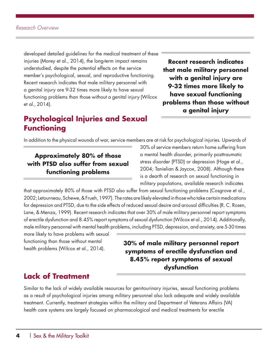developed detailed guidelines for the medical treatment of these injuries (Morey et al., 2014), the long-term impact remains understudied, despite the potential effects on the service member's psychological, sexual, and reproductive functioning. Recent research indicates that male military personnel with a genital injury are 9-32 times more likely to have sexual functioning problems than those without a genital injury (Wilcox et al., 2014).

# **Psychological Injuries and Sexual Functioning**

**Recent research indicates that male military personnel with a genital injury are 9-32 times more likely to have sexual functioning problems than those without a genital injury**

In addition to the physical wounds of war, service members are at risk for psychological injuries. Upwards of

#### **Approximately 80% of those with PTSD also suffer from sexual functioning problems**

30% of service members return home suffering from a mental health disorder, primarily posttraumatic stress disorder (PTSD) or depression (Hoge et al., 2004; Tanielian & Jaycox, 2008). Although there is a dearth of research on sexual functioning in military populations, available research indicates

that approximately 80% of those with PTSD also suffer from sexual functioning problems (Cosgrove et al., 2002; Letourneau, Schewe, & Frueh, 1997). The rates are likely elevated in those who take certain medications for depression and PTSD, due to the side effects of reduced sexual desire and arousal difficulties (R. C. Rosen, Lane, & Menza, 1999). Recent research indicates that over 30% of male military personnel report symptoms of erectile dysfunction and 8.45% report symptoms of sexual dysfunction (Wilcox et al., 2014). Additionally, male military personnel with mental health problems, including PTSD, depression, and anxiety, are 5-30 times

more likely to have problems with sexual functioning than those without mental health problems (Wilcox et al., 2014).

**30% of male military personnel report symptoms of erectile dysfunction and 8.45% report symptoms of sexual dysfunction**

## **Lack of Treatment**

Similar to the lack of widely available resources for genitourinary injuries, sexual functioning problems as a result of psychological injuries among military personnel also lack adequate and widely available treatment. Currently, treatment strategies within the military and Department of Veterans Affairs (VA) health care systems are largely focused on pharmacological and medical treatments for erectile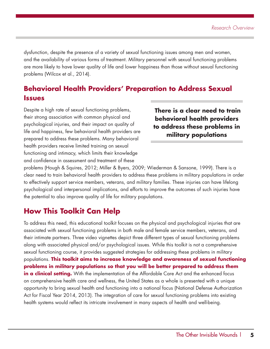dysfunction, despite the presence of a variety of sexual functioning issues among men and women, and the availability of various forms of treatment. Military personnel with sexual functioning problems are more likely to have lower quality of life and lower happiness than those without sexual functioning problems (Wilcox et al., 2014).

#### **Behavioral Health Providers' Preparation to Address Sexual Issues**

Despite a high rate of sexual functioning problems, their strong association with common physical and psychological injuries, and their impact on quality of life and happiness, few behavioral health providers are prepared to address these problems. Many behavioral health providers receive limited training on sexual functioning and intimacy, which limits their knowledge and confidence in assessment and treatment of these

 **There is a clear need to train behavioral health providers to address these problems in military populations**

problems (Hough & Squires, 2012; Miller & Byers, 2009; Wiederman & Sansone, 1999). There is a clear need to train behavioral health providers to address these problems in military populations in order to effectively support service members, veterans, and military families. These injuries can have lifelong psychological and interpersonal implications, and efforts to improve the outcomes of such injuries have the potential to also improve quality of life for military populations.

#### **How This Toolkit Can Help**

To address this need, this educational toolkit focuses on the physical and psychological injuries that are associated with sexual functioning problems in both male and female service members, veterans, and their intimate partners. Three video vignettes depict three different types of sexual functioning problems along with associated physical and/or psychological issues. While this toolkit is not a comprehensive sexual functioning course, it provides suggested strategies for addressing these problems in military populations. **This toolkit aims to increase knowledge and awareness of sexual functioning problems in military populations so that you will be better prepared to address them in a clinical setting.** With the implementation of the Affordable Care Act and the enhanced focus on comprehensive health care and wellness, the United States as a whole is presented with a unique opportunity to bring sexual health and functioning into a national focus (National Defense Authorization Act for Fiscal Year 2014, 2013). The integration of care for sexual functioning problems into existing health systems would reflect its intricate involvement in many aspects of health and well-being.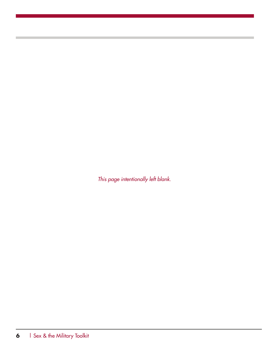*This page intentionally left blank.*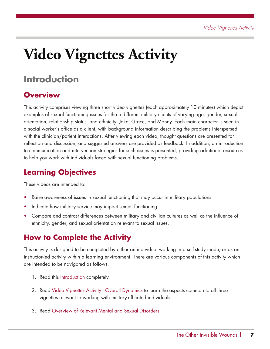# **Video Vignettes Activity**

# **Introduction**

## **Overview**

This activity comprises viewing three short video vignettes (each approximately 10 minutes) which depict examples of sexual functioning issues for three different military clients of varying age, gender, sexual orientation, relationship status, and ethnicity: Jake, Grace, and Manny. Each main character is seen in a social worker's office as a client, with background information describing the problems interspersed with the clinician/patient interactions. After viewing each video, thought questions are presented for reflection and discussion, and suggested answers are provided as feedback. In addition, an introduction to communication and intervention strategies for such issues is presented, providing additional resources to help you work with individuals faced with sexual functioning problems.

## **Learning Objectives**

These videos are intended to:

- Raise awareness of issues in sexual functioning that may occur in military populations.
- Indicate how military service may impact sexual functioning.
- Compare and contrast differences between military and civilian cultures as well as the influence of ethnicity, gender, and sexual orientation relevant to sexual issues.

## **How to Complete the Activity**

This activity is designed to be completed by either an individual working in a self-study mode, or as an instructor-led activity within a learning environment. There are various components of this activity which are intended to be navigated as follows.

- 1. Read this Introduction completely.
- 2. Read Video Vignettes Activity Overall Dynamics to learn the aspects common to all three vignettes relevant to working with military-affiliated individuals.
- 3. Read Overview of Relevant Mental and Sexual Disorders.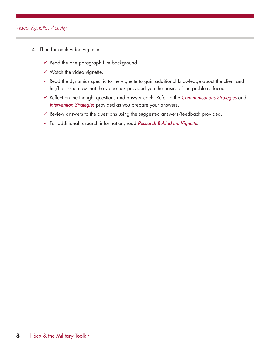#### *Video Vignettes Activity*

- 4. Then for each video vignette:
	- $\checkmark$  Read the one paragraph film background.
	- $\checkmark$  Watch the video vignette.
	- $\checkmark$  Read the dynamics specific to the vignette to gain additional knowledge about the client and his/her issue now that the video has provided you the basics of the problems faced.
	- ü Reflect on the thought questions and answer each. Refer to the *Communications Strategies* and *Intervention Strategies* provided as you prepare your answers.
	- $\checkmark$  Review answers to the questions using the suggested answers/feedback provided.
	- ü For additional research information, read *Research Behind the Vignette*.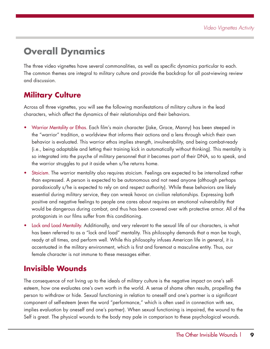# **Overall Dynamics**

The three video vignettes have several commonalities, as well as specific dynamics particular to each. The common themes are integral to military culture and provide the backdrop for all post-viewing review and discussion.

## **Military Culture**

Across all three vignettes, you will see the following manifestations of military culture in the lead characters, which affect the dynamics of their relationships and their behaviors.

- Warrior Mentality or Ethos. Each film's main character (Jake, Grace, Manny) has been steeped in the "warrior" tradition, a worldview that informs their actions and a lens through which their own behavior is evaluated. This warrior ethos implies strength, invulnerability, and being combat-ready (i.e., being adaptable and letting their training kick in automatically without thinking). This mentality is so integrated into the psyche of military personnel that it becomes part of their DNA, so to speak, and the warrior struggles to put it aside when s/he returns home.
- Stoicism. The warrior mentality also requires stoicism. Feelings are expected to be internalized rather than expressed. A person is expected to be autonomous and not need anyone (although perhaps paradoxically s/he is expected to rely on and respect authority). While these behaviors are likely essential during military service, they can wreak havoc on civilian relationships. Expressing both positive and negative feelings to people one cares about requires an emotional vulnerability that would be dangerous during combat, and thus has been covered over with protective armor. All of the protagonists in our films suffer from this conditioning.
- Lock and Load Mentality. Additionally, and very relevant to the sexual life of our characters, is what has been referred to as a "lock and load" mentality. This philosophy demands that a man be tough, ready at all times, and perform well. While this philosophy infuses American life in general, it is accentuated in the military environment, which is first and foremost a masculine entity. Thus, our female character is not immune to these messages either.

## **Invisible Wounds**

The consequence of not living up to the ideals of military culture is the negative impact on one's selfesteem, how one evaluates one's own worth in the world. A sense of shame often results, propelling the person to withdraw or hide. Sexual functioning in relation to oneself and one's partner is a significant component of self-esteem (even the word "performance," which is often used in connection with sex, implies evaluation by oneself and one's partner). When sexual functioning is impaired, the wound to the Self is great. The physical wounds to the body may pale in comparison to these psychological wounds.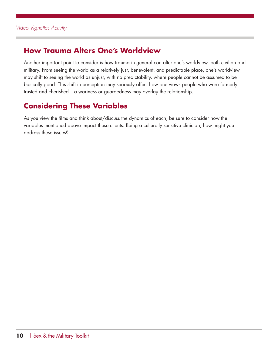## **How Trauma Alters One's Worldview**

Another important point to consider is how trauma in general can alter one's worldview, both civilian and military. From seeing the world as a relatively just, benevolent, and predictable place, one's worldview may shift to seeing the world as unjust, with no predictability, where people cannot be assumed to be basically good. This shift in perception may seriously affect how one views people who were formerly trusted and cherished – a wariness or guardedness may overlay the relationship.

# **Considering These Variables**

As you view the films and think about/discuss the dynamics of each, be sure to consider how the variables mentioned above impact these clients. Being a culturally sensitive clinician, how might you address these issues?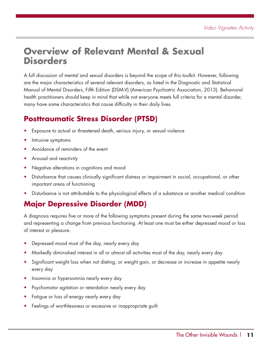# **Overview of Relevant Mental & Sexual Disorders**

A full discussion of mental and sexual disorders is beyond the scope of this toolkit. However, following are the major characteristics of several relevant disorders, as listed in the Diagnostic and Statistical Manual of Mental Disorders, Fifth Edition (DSM-V) (American Psychiatric Association, 2013). Behavioral health practitioners should keep in mind that while not everyone meets full criteria for a mental disorder, many have some characteristics that cause difficulty in their daily lives.

# **Posttraumatic Stress Disorder (PTSD)**

- Exposure to actual or threatened death, serious injury, or sexual violence
- Intrusive symptoms
- Avoidance of reminders of the event
- Arousal and reactivity
- Negative alterations in cognitions and mood
- Disturbance that causes clinically significant distress or impairment in social, occupational, or other important areas of functioning
- Disturbance is not attributable to the physiological effects of a substance or another medical condition

# **Major Depressive Disorder (MDD)**

A diagnosis requires five or more of the following symptoms present during the same two-week period and representing a change from previous functioning. At least one must be either depressed mood or loss of interest or pleasure.

- Depressed mood most of the day, nearly every day
- Markedly diminished interest in all or almost all activities most of the day, nearly every day
- Significant weight loss when not dieting, or weight gain, or decrease or increase in appetite nearly every day
- Insomnia or hypersomnia nearly every day
- Psychomotor agitation or retardation nearly every day
- Fatigue or loss of energy nearly every day
- Feelings of worthlessness or excessive or inappropriate guilt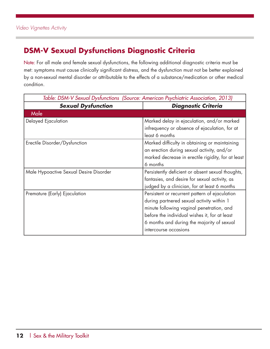# **DSM-V Sexual Dysfunctions Diagnostic Criteria**

Note: For all male and female sexual dysfunctions, the following additional diagnostic criteria must be met: symptoms must cause clinically significant distress, and the dysfunction must not be better explained by a non-sexual mental disorder or attributable to the effects of a substance/medication or other medical condition.

| Table: DSM-V Sexual Dysfunctions (Source: American Psychiatric Association, 2013) |                                                    |
|-----------------------------------------------------------------------------------|----------------------------------------------------|
| <b>Sexual Dysfunction</b>                                                         | <b>Diagnostic Criteria</b>                         |
| Male                                                                              |                                                    |
| Delayed Ejaculation                                                               | Marked delay in ejaculation, and/or marked         |
|                                                                                   | infrequency or absence of ejaculation, for at      |
|                                                                                   | least 6 months                                     |
| Erectile Disorder/Dysfunction                                                     | Marked difficulty in obtaining or maintaining      |
|                                                                                   | an erection during sexual activity, and/or         |
|                                                                                   | marked decrease in erectile rigidity, for at least |
|                                                                                   | 6 months                                           |
| Male Hypoactive Sexual Desire Disorder                                            | Persistently deficient or absent sexual thoughts,  |
|                                                                                   | fantasies, and desire for sexual activity, as      |
|                                                                                   | judged by a clinician, for at least 6 months       |
| Premature (Early) Ejaculation                                                     | Persistent or recurrent pattern of ejaculation     |
|                                                                                   | during partnered sexual activity within 1          |
|                                                                                   | minute following vaginal penetration, and          |
|                                                                                   | before the individual wishes it, for at least      |
|                                                                                   | 6 months and during the majority of sexual         |
|                                                                                   | intercourse occasions                              |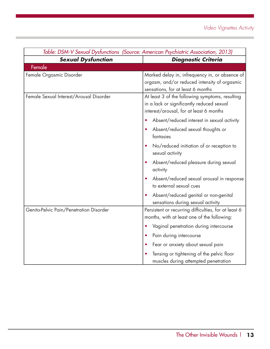i.

| Table: DSM-V Sexual Dysfunctions (Source: American Psychiatric Association, 2013) |                                                                                                                                         |
|-----------------------------------------------------------------------------------|-----------------------------------------------------------------------------------------------------------------------------------------|
| <b>Sexual Dysfunction</b>                                                         | <b>Diagnostic Criteria</b>                                                                                                              |
| Female                                                                            |                                                                                                                                         |
| Female Orgasmic Disorder                                                          | Marked delay in, infrequency in, or absence of<br>orgasm, and/or reduced intensity of orgasmic<br>sensations, for at least 6 months     |
| Female Sexual Interest/Arousal Disorder                                           | At least 3 of the following symptoms, resulting<br>in a lack or significantly reduced sexual<br>interest/arousal, for at least 6 months |
|                                                                                   | Absent/reduced interest in sexual activity                                                                                              |
|                                                                                   | Absent/reduced sexual thoughts or<br>fantasies                                                                                          |
|                                                                                   | No/reduced initiation of or reception to<br>sexual activity                                                                             |
|                                                                                   | Absent/reduced pleasure during sexual<br>activity                                                                                       |
|                                                                                   | Absent/reduced sexual arousal in response<br>to external sexual cues                                                                    |
|                                                                                   | Absent/reduced genital or non-genital<br>sensations during sexual activity                                                              |
| Genito-Pelvic Pain/Penetration Disorder                                           | Persistent or recurring difficulties, for at least 6<br>months, with at least one of the following:                                     |
|                                                                                   | Vaginal penetration during intercourse                                                                                                  |
|                                                                                   | Pain during intercourse                                                                                                                 |
|                                                                                   | Fear or anxiety about sexual pain                                                                                                       |
|                                                                                   | Tensing or tightening of the pelvic floor<br>muscles during attempted penetration                                                       |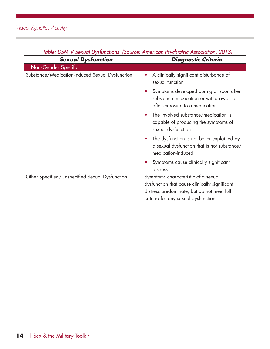| Table: DSM-V Sexual Dysfunctions (Source: American Psychiatric Association, 2013) |                                                                                                                       |
|-----------------------------------------------------------------------------------|-----------------------------------------------------------------------------------------------------------------------|
| <b>Sexual Dysfunction</b>                                                         | <b>Diagnostic Criteria</b>                                                                                            |
| Non-Gender Specific                                                               |                                                                                                                       |
| Substance/Medication-Induced Sexual Dysfunction                                   | A clinically significant disturbance of<br>sexual function                                                            |
|                                                                                   | Symptoms developed during or soon after<br>substance intoxication or withdrawal, or<br>after exposure to a medication |
|                                                                                   | The involved substance/medication is<br>capable of producing the symptoms of<br>sexual dysfunction                    |
|                                                                                   | The dysfunction is not better explained by<br>a sexual dysfunction that is not substance/<br>medication-induced       |
|                                                                                   | Symptoms cause clinically significant<br>distress                                                                     |
| Other Specified/Unspecified Sexual Dysfunction                                    | Symptoms characteristic of a sexual                                                                                   |
|                                                                                   | dysfunction that cause clinically significant                                                                         |
|                                                                                   | distress predominate, but do not meet full                                                                            |
|                                                                                   | criteria for any sexual dysfunction.                                                                                  |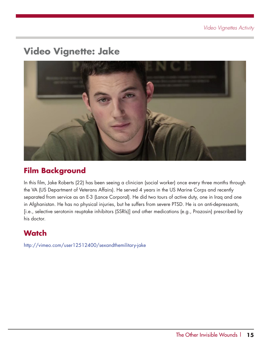# **Video Vignette: Jake**



### **Film Background**

In this film, Jake Roberts (22) has been seeing a clinician (social worker) once every three months through the VA (US Department of Veterans Affairs). He served 4 years in the US Marine Corps and recently separated from service as an E-3 (Lance Corporal). He did two tours of active duty, one in Iraq and one in Afghanistan. He has no physical injuries, but he suffers from severe PTSD. He is on anti-depressants, [i.e., selective serotonin reuptake inhibitors (SSRIs)] and other medications (e.g., Prazosin) prescribed by his doctor.

## **Watch**

http://vimeo.com/user12512400/sexandthemilitary-jake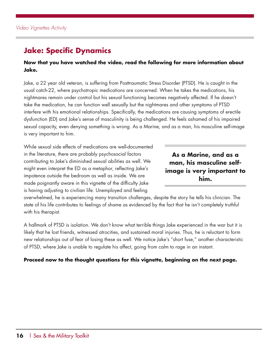# **Jake: Specific Dynamics**

#### **Now that you have watched the video, read the following for more information about Jake.**

Jake, a 22 year old veteran, is suffering from Posttraumatic Stress Disorder (PTSD). He is caught in the usual catch-22, where psychotropic medications are concerned. When he takes the medications, his nightmares remain under control but his sexual functioning becomes negatively affected. If he doesn't take the medication, he can function well sexually but the nightmares and other symptoms of PTSD interfere with his emotional relationships. Specifically, the medications are causing symptoms of erectile dysfunction (ED) and Jake's sense of masculinity is being challenged. He feels ashamed of his impaired sexual capacity, even denying something is wrong. As a Marine, and as a man, his masculine self-image is very important to him.

While sexual side effects of medications are well-documented in the literature, there are probably psychosocial factors contributing to Jake's diminished sexual abilities as well. We might even interpret the ED as a metaphor, reflecting Jake's impotence outside the bedroom as well as inside. We are made poignantly aware in this vignette of the difficulty Jake is having adjusting to civilian life. Unemployed and feeling

**As a Marine, and as a man, his masculine selfimage is very important to him.** 

overwhelmed, he is experiencing many transition challenges, despite the story he tells his clinician. The state of his life contributes to feelings of shame as evidenced by the fact that he isn't completely truthful with his therapist.

A hallmark of PTSD is isolation. We don't know what terrible things Jake experienced in the war but it is likely that he lost friends, witnessed atrocities, and sustained moral injuries. Thus, he is reluctant to form new relationships out of fear of losing these as well. We notice Jake's "short fuse," another characteristic of PTSD, where Jake is unable to regulate his affect, going from calm to rage in an instant.

#### **Proceed now to the thought questions for this vignette, beginning on the next page.**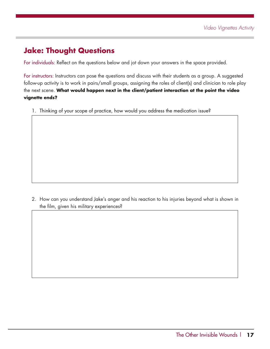## **Jake: Thought Questions**

For individuals: Reflect on the questions below and jot down your answers in the space provided.

For instructors: Instructors can pose the questions and discuss with their students as a group. A suggested follow-up activity is to work in pairs/small groups, assigning the roles of client(s) and clinician to role play the next scene. **What would happen next in the client/patient interaction at the point the video vignette ends?**

1. Thinking of your scope of practice, how would you address the medication issue?

2. How can you understand Jake's anger and his reaction to his injuries beyond what is shown in the film, given his military experiences?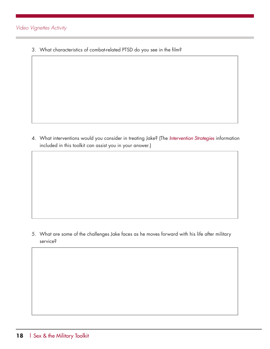3. What characteristics of combat-related PTSD do you see in the film?

4. What interventions would you consider in treating Jake? (The *Intervention Strategies* information included in this toolkit can assist you in your answer.)

5. What are some of the challenges Jake faces as he moves forward with his life after military service?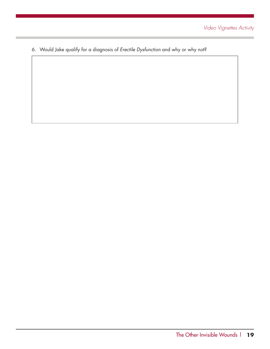6. Would Jake qualify for a diagnosis of *Erectile Dysfunction* and why or why not?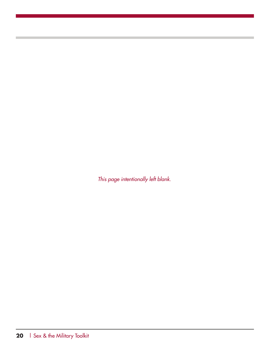*This page intentionally left blank.*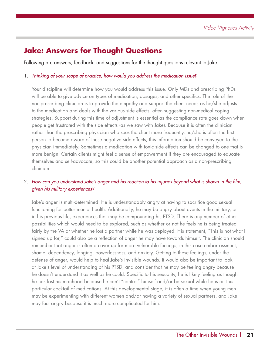#### **Jake: Answers for Thought Questions**

Following are answers, feedback, and suggestions for the thought questions relevant to Jake.

#### 1. *Thinking of your scope of practice, how would you address the medication issue?*

Your discipline will determine how you would address this issue. Only MDs and prescribing PhDs will be able to give advice on types of medication, dosages, and other specifics. The role of the non-prescribing clinician is to provide the empathy and support the client needs as he/she adjusts to the medication and deals with the various side effects, often suggesting non-medical coping strategies. Support during this time of adjustment is essential as the compliance rate goes down when people get frustrated with the side effects (as we saw with Jake). Because it is often the clinician rather than the prescribing physician who sees the client more frequently, he/she is often the first person to become aware of these negative side effects; this information should be conveyed to the physician immediately. Sometimes a medication with toxic side effects can be changed to one that is more benign. Certain clients might feel a sense of empowerment if they are encouraged to educate themselves and self-advocate, so this could be another potential approach as a non-prescribing clinician.

#### 2. *How can you understand Jake's anger and his reaction to his injuries beyond what is shown in the film, given his military experiences?*

Jake's anger is multi-determined. He is understandably angry at having to sacrifice good sexual functioning for better mental health. Additionally, he may be angry about events in the military, or in his previous life, experiences that may be compounding his PTSD. There is any number of other possibilities which would need to be explored, such as whether or not he feels he is being treated fairly by the VA or whether he lost a partner while he was deployed. His statement, "This is not what I signed up for," could also be a reflection of anger he may have towards himself. The clinician should remember that anger is often a cover up for more vulnerable feelings, in this case embarrassment, shame, dependency, longing, powerlessness, and anxiety. Getting to these feelings, under the defense of anger, would help to heal Jake's invisible wounds. It would also be important to look at Jake's level of understanding of his PTSD, and consider that he may be feeling angry because he doesn't understand it as well as he could. Specific to his sexuality, he is likely feeling as though he has lost his manhood because he can't "control" himself and/or be sexual while he is on this particular cocktail of medications. At this developmental stage, it is often a time when young men may be experimenting with different women and/or having a variety of sexual partners, and Jake may feel angry because it is much more complicated for him.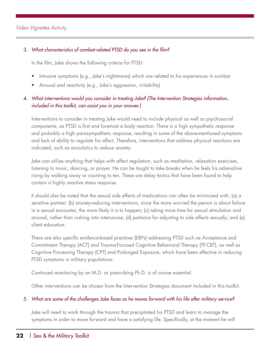#### 3. *What characteristics of combat-related PTSD do you see in the film?*

In the film, Jake shows the following criteria for PTSD:

- Intrusive symptoms (e.g., Jake's nightmares) which are related to his experiences in combat
- Arousal and reactivity (e.g., Jake's aggression, irritability)

#### 4. *What interventions would you consider in treating Jake? (The Intervention Strategies information, included in this toolkit, can assist you in your answer.)*

Interventions to consider in treating Jake would need to include physical as well as psychosocial components, as PTSD is first and foremost a body reaction. There is a high sympathetic response and probably a high parasympathetic response, resulting in some of the above-mentioned symptoms and lack of ability to regulate his affect. Therefore, interventions that address physical reactions are indicated, such as anxiolytics to reduce anxiety.

Jake can utilize anything that helps with affect regulation, such as meditation, relaxation exercises, listening to music, dancing, or prayer. He can be taught to take breaks when he feels his adrenaline rising by walking away or counting to ten. These are delay tactics that have been found to help contain a highly reactive stress response.

It should also be noted that the sexual side effects of medications can often be minimized with: (a) a sensitive partner; (b) anxiety-reducing interventions, since the more worried the person is about failure in a sexual encounter, the more likely it is to happen; (c) taking more time for sexual stimulation and arousal, rather than rushing into intercourse; (d) patience for adjusting to side effects sexually; and (e) client education.

There are also specific evidence-based practices (EBPs) addressing PTSD such as Acceptance and Commitment Therapy (ACT) and Trauma-Focused Cognitive Behavioral Therapy (TF-CBT), as well as Cognitive Processing Therapy (CPT) and Prolonged Exposure, which have been effective in reducing PTSD symptoms in military populations.

Continued monitoring by an M.D. or prescribing Ph.D. is of course essential.

Other interventions can be chosen from the Intervention Strategies document included in this toolkit.

#### 5. *What are some of the challenges Jake faces as he moves forward with his life after military service?*

Jake will need to work through the trauma that precipitated his PTSD and learn to manage the symptoms in order to move forward and have a satisfying life. Specifically, at the moment he will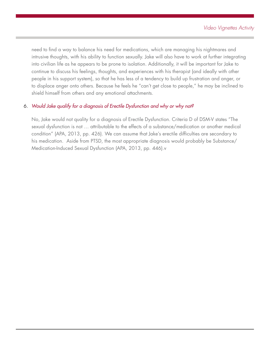need to find a way to balance his need for medications, which are managing his nightmares and intrusive thoughts, with his ability to function sexually. Jake will also have to work at further integrating into civilian life as he appears to be prone to isolation. Additionally, it will be important for Jake to continue to discuss his feelings, thoughts, and experiences with his therapist (and ideally with other people in his support system), so that he has less of a tendency to build up frustration and anger, or to displace anger onto others. Because he feels he "can't get close to people," he may be inclined to shield himself from others and any emotional attachments.

#### 6. *Would Jake qualify for a diagnosis of Erectile Dysfunction and why or why not?*

No, Jake would not quality for a diagnosis of Erectile Dysfunction. Criteria D of DSM-V states "The sexual dysfunction is not … attributable to the effects of a substance/medication or another medical condition" (APA, 2013, pp. 426). We can assume that Jake's erectile difficulties are secondary to his medication. Aside from PTSD, the most appropriate diagnosis would probably be Substance/ Medication-Induced Sexual Dysfunction (APA, 2013, pp. 446).v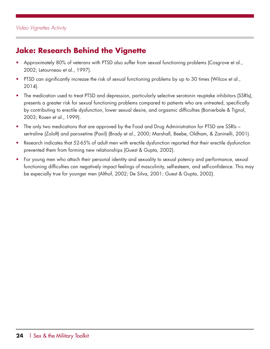# **Jake: Research Behind the Vignette**

- Approximately 80% of veterans with PTSD also suffer from sexual functioning problems (Cosgrove et al., 2002; Letourneau et al., 1997).
- PTSD can significantly increase the risk of sexual functioning problems by up to 30 times (Wilcox et al., 2014).
- The medication used to treat PTSD and depression, particularly selective serotonin reuptake inhibitors (SSRIs), presents a greater risk for sexual functioning problems compared to patients who are untreated, specifically by contributing to erectile dysfunction, lower sexual desire, and orgasmic difficulties (Bonierbale & Tignol, 2003; Rosen et al., 1999).
- The only two medications that are approved by the Food and Drug Administration for PTSD are SSRIs sertraline (Zoloft) and paroxetine (Paxil) (Brady et al., 2000; Marshall, Beebe, Oldham, & Zaninelli, 2001).
- Research indicates that 52-65% of adult men with erectile dysfunction reported that their erectile dysfunction prevented them from forming new relationships (Guest & Gupta, 2002).
- For young men who attach their personal identity and sexuality to sexual potency and performance, sexual functioning difficulties can negatively impact feelings of masculinity, self-esteem, and self-confidence. This may be especially true for younger men (Althof, 2002; De Silva, 2001; Guest & Gupta, 2002).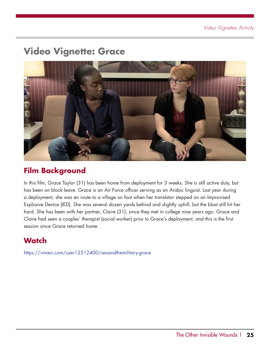# **Video Vignette: Grace**



#### **Film Background**

In this film, Grace Taylor (31) has been home from deployment for 3 weeks. She is still active duty, but has been on block leave. Grace is an Air Force officer serving as an Arabic linguist. Last year during a deployment, she was en route to a village on foot when her translator stepped on an Improvised Explosive Device (IED). She was several dozen yards behind and slightly uphill, but the blast still hit her hard. She has been with her partner, Claire (31), since they met in college nine years ago. Grace and Claire had seen a couples' therapist (social worker) prior to Grace's deployment, and this is the first session since Grace returned home.

## **Watch**

https://vimeo.com/user12512400/sexandthemilitary-grace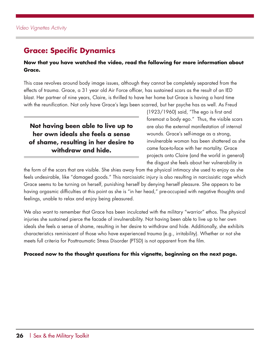## **Grace: Specific Dynamics**

#### **Now that you have watched the video, read the following for more information about Grace.**

This case revolves around body image issues, although they cannot be completely separated from the effects of trauma. Grace, a 31 year old Air Force officer, has sustained scars as the result of an IED blast. Her partner of nine years, Claire, is thrilled to have her home but Grace is having a hard time with the reunification. Not only have Grace's legs been scarred, but her psyche has as well. As Freud

#### **Not having been able to live up to her own ideals she feels a sense of shame, resulting in her desire to withdraw and hide.**

(1923/1960) said, "The ego is first and foremost a body ego." Thus, the visible scars are also the external manifestation of internal wounds. Grace's self-image as a strong, invulnerable woman has been shattered as she came face-to-face with her mortality. Grace projects onto Claire (and the world in general) the disgust she feels about her vulnerability in

the form of the scars that are visible. She shies away from the physical intimacy she used to enjoy as she feels undesirable, like "damaged goods." This narcissistic injury is also resulting in narcissistic rage which Grace seems to be turning on herself, punishing herself by denying herself pleasure. She appears to be having orgasmic difficulties at this point as she is "in her head," pre-occupied with negative thoughts and feelings, unable to relax and enjoy being pleasured.

We also want to remember that Grace has been inculcated with the military "warrior" ethos. The physical injuries she sustained pierce the facade of invulnerability. Not having been able to live up to her own ideals she feels a sense of shame, resulting in her desire to withdraw and hide. Additionally, she exhibits characteristics reminiscent of those who have experienced trauma (e.g., irritability). Whether or not she meets full criteria for Posttraumatic Stress Disorder (PTSD) is not apparent from the film.

#### **Proceed now to the thought questions for this vignette, beginning on the next page.**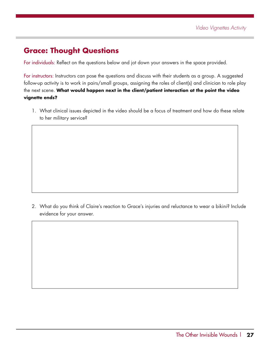## **Grace: Thought Questions**

For individuals: Reflect on the questions below and jot down your answers in the space provided.

For instructors: Instructors can pose the questions and discuss with their students as a group. A suggested follow-up activity is to work in pairs/small groups, assigning the roles of client(s) and clinician to role play the next scene. **What would happen next in the client/patient interaction at the point the video vignette ends?**

1. What clinical issues depicted in the video should be a focus of treatment and how do these relate to her military service?

2. What do you think of Claire's reaction to Grace's injuries and reluctance to wear a bikini? Include evidence for your answer.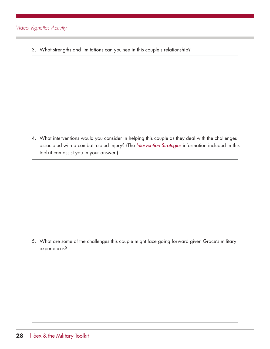3. What strengths and limitations can you see in this couple's relationship?

4. What interventions would you consider in helping this couple as they deal with the challenges associated with a combat-related injury? (The *Intervention Strategies* information included in this toolkit can assist you in your answer.)

5. What are some of the challenges this couple might face going forward given Grace's military experiences?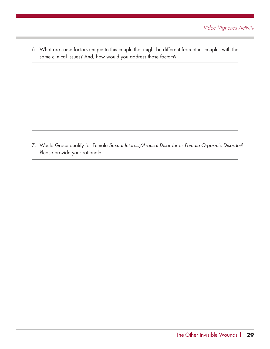6. What are some factors unique to this couple that might be different from other couples with the same clinical issues? And, how would you address those factors?

7. Would Grace qualify for Female *Sexual Interest/Arousal Disorder* or *Female Orgasmic Disorder*? Please provide your rationale.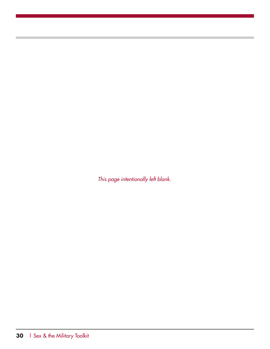*This page intentionally left blank.*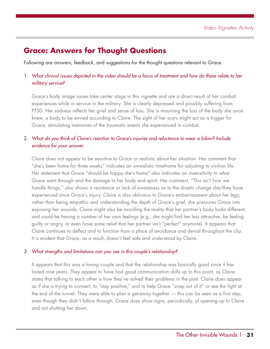## **Grace: Answers for Thought Questions**

Following are answers, feedback, and suggestions for the thought questions relevant to Grace.

#### 1. *What clinical issues depicted in the video should be a focus of treatment and how do these relate to her military service?*

Grace's body image issues take center stage in this vignette and are a direct result of her combat experiences while in service in the military. She is clearly depressed and possibly suffering from PTSD. Her sadness reflects her grief and sense of loss. She is mourning the loss of the body she once knew, a body to be envied according to Claire. The sight of her scars might act as a trigger for Grace, stimulating memories of the traumatic events she experienced in combat.

#### 2. *What do you think of Claire's reaction to Grace's injuries and reluctance to wear a bikini? Include evidence for your answer.*

Claire does not appear to be sensitive to Grace or realistic about her situation. Her comment that "she's been home for three weeks" indicates an unrealistic timeframe for adjusting to civilian life. Her statement that Grace "should be happy she's home" also indicates an insensitivity to what Grace went through and the damage to her body and spirit. Her comment, "This isn't how we handle things," also shows a resistance or lack of awareness as to the drastic change she/they have experienced since Grace's injury. Claire is also oblivious to Grace's embarrassment about her legs; rather than being empathic and understanding the depth of Grace's grief, she pressures Grace into exposing her wounds. Claire might also be avoiding the reality that her partner's body looks different, and could be having a number of her own feelings (e.g., she might find her less attractive, be feeling guilty or angry, or even have some relief that her partner isn't "perfect" anymore). It appears that Claire continues to deflect and to function from a place of avoidance and denial throughout the clip. It is evident that Grace, as a result, doesn't feel safe and understood by Claire.

#### 3. *What strengths and limitations can you see in this couple's relationship?*

It appears that this was a loving couple and that the relationship was basically good since it has lasted nine years. They appear to have had good communication skills up to this point, as Claire states that talking to each other is how they've solved their problems in the past. Claire does appear as if she is trying to connect, to "stay positive," and to help Grace "snap out of it" or see the light at the end of the tunnel. They were able to plan a get-away together — this can be seen as a first step, even though they didn't follow through. Grace does show signs, periodically, of opening up to Claire and not shutting her down.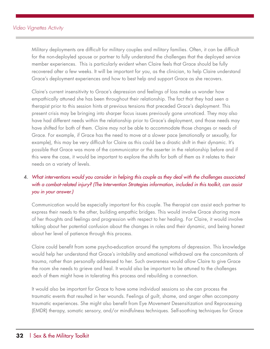Military deployments are difficult for military couples and military families. Often, it can be difficult for the non-deployled spouse or partner to fully understand the challenges that the deployed service member experiences. This is particularly evident when Claire feels that Grace should be fully recovered after a few weeks. It will be important for you, as the clinician, to help Claire understand Grace's deployment experiences and how to best help and support Grace as she recovers.

Claire's current insensitivity to Grace's depression and feelings of loss make us wonder how empathically attuned she has been throughout their relationship. The fact that they had seen a therapist prior to this session hints at previous tensions that preceded Grace's deployment. This present crisis may be bringing into sharper focus issues previously gone unnoticed. They may also have had different needs within the relationship prior to Grace's deployment, and those needs may have shifted for both of them. Claire may not be able to accommodate those changes or needs of Grace. For example, if Grace has the need to move at a slower pace (emotionally or sexually, for example), this may be very difficult for Claire as this could be a drastic shift in their dynamic. It's possible that Grace was more of the communicator or the asserter in the relationship before and if this were the case, it would be important to explore the shifts for both of them as it relates to their needs on a variety of levels.

## 4. *What interventions would you consider in helping this couple as they deal with the challenges associated with a combat-related injury? (The Intervention Strategies information, included in this toolkit, can assist you in your answer.)*

Communication would be especially important for this couple. The therapist can assist each partner to express their needs to the other, building empathic bridges. This would involve Grace sharing more of her thoughts and feelings and progression with respect to her healing. For Claire, it would involve talking about her potential confusion about the changes in roles and their dynamic, and being honest about her level of patience through this process.

Claire could benefit from some psycho-education around the symptoms of depression. This knowledge would help her understand that Grace's irritability and emotional withdrawal are the concomitants of trauma, rather than personally addressed to her. Such awareness would allow Claire to give Grace the room she needs to grieve and heal. It would also be important to be attuned to the challenges each of them might have in tolerating this process and rebuilding a connection.

It would also be important for Grace to have some individual sessions so she can process the traumatic events that resulted in her wounds. Feelings of guilt, shame, and anger often accompany traumatic experiences. She might also benefit from Eye Movement Desensitization and Reprocessing (EMDR) therapy, somatic sensory, and/or mindfulness techniques. Self-soothing techniques for Grace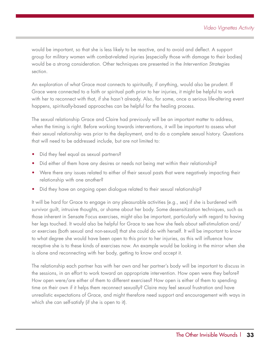would be important, so that she is less likely to be reactive, and to avoid and deflect. A support group for military women with combat-related injuries (especially those with damage to their bodies) would be a strong consideration. Other techniques are presented in the Intervention Strategies section.

An exploration of what Grace most connects to spiritually, if anything, would also be prudent. If Grace were connected to a faith or spiritual path prior to her injuries, it might be helpful to work with her to reconnect with that, if she hasn't already. Also, for some, once a serious life-altering event happens, spiritually-based approaches can be helpful for the healing process.

The sexual relationship Grace and Claire had previously will be an important matter to address, when the timing is right. Before working towards interventions, it will be important to assess what their sexual relationship was prior to the deployment, and to do a complete sexual history. Questions that will need to be addressed include, but are not limited to:

- Did they feel equal as sexual partners?
- Did either of them have any desires or needs not being met within their relationship?
- Were there any issues related to either of their sexual pasts that were negatively impacting their relationship with one another?
- Did they have an ongoing open dialogue related to their sexual relationship?

It will be hard for Grace to engage in any pleasurable activities (e.g., sex) if she is burdened with survivor guilt, intrusive thoughts, or shame about her body. Some desensitization techniques, such as those inherent in Sensate Focus exercises, might also be important, particularly with regard to having her legs touched. It would also be helpful for Grace to see how she feels about self-stimulation and/ or exercises (both sexual and non-sexual) that she could do with herself. It will be important to know to what degree she would have been open to this prior to her injuries, as this will influence how receptive she is to these kinds of exercises now. An example would be looking in the mirror when she is alone and reconnecting with her body, getting to know and accept it.

The relationship each partner has with her own and her partner's body will be important to discuss in the sessions, in an effort to work toward an appropriate intervention. How open were they before? How open were/are either of them to different exercises? How open is either of them to spending time on their own if it helps them reconnect sexually? Claire may feel sexual frustration and have unrealistic expectations of Grace, and might therefore need support and encouragement with ways in which she can self-satisfy (if she is open to it).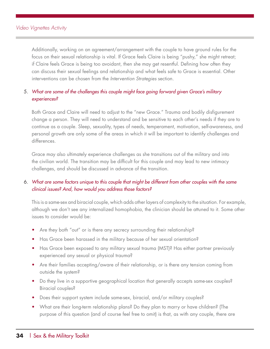#### *Video Vignettes Activity*

Additionally, working on an agreement/arrangement with the couple to have ground rules for the focus on their sexual relationship is vital. If Grace feels Claire is being "pushy," she might retreat; if Claire feels Grace is being too avoidant, then she may get resentful. Defining how often they can discuss their sexual feelings and relationship and what feels safe to Grace is essential. Other interventions can be chosen from the Intervention Strategies section.

## 5. *What are some of the challenges this couple might face going forward given Grace's military experiences?*

Both Grace and Claire will need to adjust to the "new Grace." Trauma and bodily disfigurement change a person. They will need to understand and be sensitive to each other's needs if they are to continue as a couple. Sleep, sexuality, types of needs, temperament, motivation, self-awareness, and personal growth are only some of the areas in which it will be important to identify challenges and differences.

Grace may also ultimately experience challenges as she transitions out of the military and into the civilian world. The transition may be difficult for this couple and may lead to new intimacy challenges, and should be discussed in advance of the transition.

#### 6. *What are some factors unique to this couple that might be different from other couples with the same clinical issues? And, how would you address those factors?*

This is a same-sex and biracial couple, which adds other layers of complexity to the situation. For example, although we don't see any internalized homophobia, the clinician should be attuned to it. Some other issues to consider would be:

- Are they both "out" or is there any secrecy surrounding their relationship?
- Has Grace been harassed in the military because of her sexual orientation?
- Has Grace been exposed to any military sexual trauma (MST)? Has either partner previously experienced any sexual or physical trauma?
- Are their families accepting/aware of their relationship, or is there any tension coming from outside the system?
- Do they live in a supportive geographical location that generally accepts same-sex couples? Biracial couples?
- Does their support system include same-sex, biracial, and/or military couples?
- What are their long-term relationship plans? Do they plan to marry or have children? (The purpose of this question (and of course feel free to omit) is that, as with any couple, there are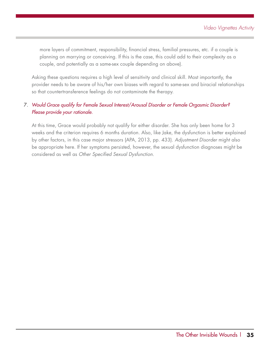more layers of commitment, responsibility, financial stress, familial pressures, etc. if a couple is planning on marrying or conceiving. If this is the case, this could add to their complexity as a couple, and potentially as a same-sex couple depending on above).

Asking these questions requires a high level of sensitivity and clinical skill. Most importantly, the provider needs to be aware of his/her own biases with regard to same-sex and biracial relationships so that countertransference feelings do not contaminate the therapy.

#### 7. *Would Grace qualify for Female Sexual Interest/Arousal Disorder or Female Orgasmic Disorder? Please provide your rationale.*

At this time, Grace would probably not qualify for either disorder. She has only been home for 3 weeks and the criterion requires 6 months duration. Also, like Jake, the dysfunction is better explained by other factors, in this case major stressors (APA, 2013, pp. 433). *Adjustment Disorder* might also be appropriate here. If her symptoms persisted, however, the sexual dysfunction diagnoses might be considered as well as *Other Specified Sexual Dysfunction.*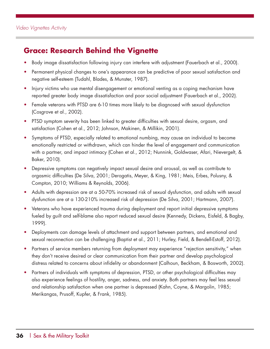## **Grace: Research Behind the Vignette**

- Body image dissatisfaction following injury can interfere with adjustment (Fauerbach et al., 2000).
- Permanent physical changes to one's appearance can be predictive of poor sexual satisfaction and negative self-esteem (Tudahl, Blades, & Munster, 1987).
- Injury victims who use mental disengagement or emotional venting as a coping mechanism have reported greater body image dissatisfaction and poor social adjustment (Fauerbach et al., 2002).
- Female veterans with PTSD are 6-10 times more likely to be diagnosed with sexual dysfunction (Cosgrove et al., 2002).
- PTSD symptom severity has been linked to greater difficulties with sexual desire, orgasm, and satisfaction (Cohen et al., 2012; Johnson, Makinen, & Millikin, 2001).
- Symptoms of PTSD, especially related to emotional numbing, may cause an individual to become emotionally restricted or withdrawn, which can hinder the level of engagement and communication with a partner, and impact intimacy (Cohen et al., 2012; Nunnink, Goldwaser, Afari, Nievergelt, & Baker, 2010).
- Depressive symptoms can negatively impact sexual desire and arousal, as well as contribute to orgasmic difficulties (De Silva, 2001; Derogatis, Meyer, & King, 1981; Meis, Erbes, Polusny, & Compton, 2010; Williams & Reynolds, 2006).
- Adults with depression are at a 50-70% increased risk of sexual dysfunction, and adults with sexual dysfunction are at a 130-210% increased risk of depression (De Silva, 2001; Hartmann, 2007).
- Veterans who have experienced trauma during deployment and report initial depressive symptoms fueled by guilt and self-blame also report reduced sexual desire (Kennedy, Dickens, Eisfeld, & Bagby, 1999).
- Deployments can damage levels of attachment and support between partners, and emotional and sexual reconnection can be challenging (Baptist et al., 2011; Hurley, Field, & Bendell-Estoff, 2012).
- Partners of service members returning from deployment may experience "rejection sensitivity," when they don't receive desired or clear communication from their partner and develop psychological distress related to concerns about infidelity or abandonment (Calhoun, Beckham, & Bosworth, 2002).
- Partners of individuals with symptoms of depression, PTSD, or other psychological difficulties may also experience feelings of hostility, anger, sadness, and anxiety. Both partners may feel less sexual and relationship satisfaction when one partner is depressed (Kahn, Coyne, & Margolin, 1985; Merikangas, Prusoff, Kupfer, & Frank, 1985).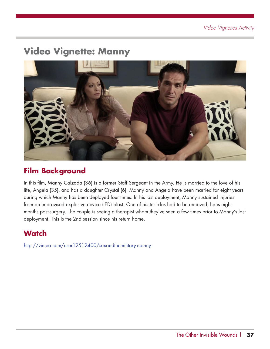# **Video Vignette: Manny**



## **Film Background**

In this film, Manny Calzada (36) is a former Staff Sergeant in the Army. He is married to the love of his life, Angela (35), and has a daughter Crystal (6). Manny and Angela have been married for eight years during which Manny has been deployed four times. In his last deployment, Manny sustained injuries from an improvised explosive device (IED) blast. One of his testicles had to be removed; he is eight months post-surgery. The couple is seeing a therapist whom they've seen a few times prior to Manny's last deployment. This is the 2nd session since his return home.

## **Watch**

http://vimeo.com/user12512400/sexandthemilitary-manny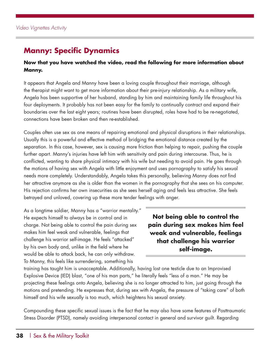## **Manny: Specific Dynamics**

#### **Now that you have watched the video, read the following for more information about Manny.**

It appears that Angela and Manny have been a loving couple throughout their marriage, although the therapist might want to get more information about their pre-injury relationship. As a military wife, Angela has been supportive of her husband, standing by him and maintaining family life throughout his four deployments. It probably has not been easy for the family to continually contract and expand their boundaries over the last eight years; routines have been disrupted, roles have had to be re-negotiated, connections have been broken and then re-established.

Couples often use sex as one means of repairing emotional and physical disruptions in their relationships. Usually this is a powerful and effective method of bridging the emotional distance created by the separation. In this case, however, sex is causing more friction than helping to repair, pushing the couple further apart. Manny's injuries have left him with sensitivity and pain during intercourse. Thus, he is conflicted, wanting to share physical intimacy with his wife but needing to avoid pain. He goes through the motions of having sex with Angela with little enjoyment and uses pornography to satisfy his sexual needs more completely. Understandably, Angela takes this personally, believing Manny does not find her attractive anymore as she is older than the women in the pornography that she sees on his computer. His rejection confirms her own insecurities as she sees herself aging and feels less attractive. She feels betrayed and unloved, covering up these more tender feelings with anger.

As a longtime soldier, Manny has a "warrior mentality." He expects himself to always be in control and in charge. Not being able to control the pain during sex makes him feel weak and vulnerable, feelings that challenge his warrior self-image. He feels "attacked" by his own body and, unlike in the field where he would be able to attack back, he can only withdraw. To Manny, this feels like surrendering, something his

**Not being able to control the pain during sex makes him feel weak and vulnerable, feelings that challenge his warrior self-image.**

training has taught him is unacceptable. Additionally, having lost one testicle due to an Improvised Explosive Device (IED) blast, "one of his man parts," he literally feels "less of a man." He may be projecting these feelings onto Angela, believing she is no longer attracted to him, just going through the motions and pretending. He expresses that, during sex with Angela, the pressure of "taking care" of both himself and his wife sexually is too much, which heightens his sexual anxiety.

Compounding these specific sexual issues is the fact that he may also have some features of Posttraumatic Stress Disorder (PTSD), namely avoiding interpersonal contact in general and survivor guilt. Regarding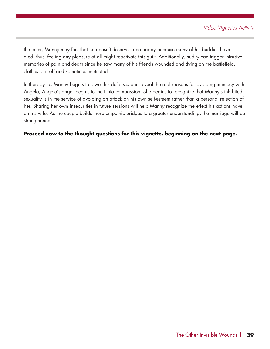the latter, Manny may feel that he doesn't deserve to be happy because many of his buddies have died; thus, feeling any pleasure at all might reactivate this guilt. Additionally, nudity can trigger intrusive memories of pain and death since he saw many of his friends wounded and dying on the battlefield, clothes torn off and sometimes mutilated.

In therapy, as Manny begins to lower his defenses and reveal the real reasons for avoiding intimacy with Angela, Angela's anger begins to melt into compassion. She begins to recognize that Manny's inhibited sexuality is in the service of avoiding an attack on his own self-esteem rather than a personal rejection of her. Sharing her own insecurities in future sessions will help Manny recognize the effect his actions have on his wife. As the couple builds these empathic bridges to a greater understanding, the marriage will be strengthened.

#### **Proceed now to the thought questions for this vignette, beginning on the next page.**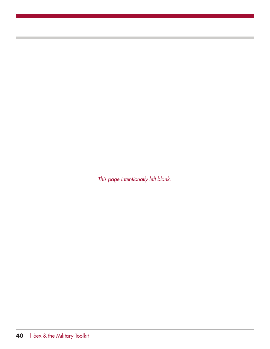*This page intentionally left blank.*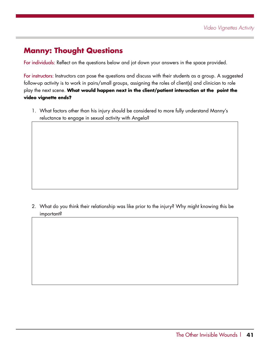## **Manny: Thought Questions**

For individuals: Reflect on the questions below and jot down your answers in the space provided.

For instructors: Instructors can pose the questions and discuss with their students as a group. A suggested follow-up activity is to work in pairs/small groups, assigning the roles of client(s) and clinician to role play the next scene. **What would happen next in the client/patient interaction at the point the video vignette ends?**

1. What factors other than his injury should be considered to more fully understand Manny's reluctance to engage in sexual activity with Angela?

2. What do you think their relationship was like prior to the injury? Why might knowing this be important?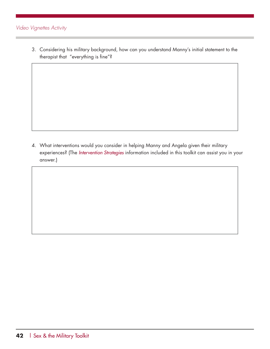## *Video Vignettes Activity*

3. Considering his military background, how can you understand Manny's initial statement to the therapist that "everything is fine"?

4. What interventions would you consider in helping Manny and Angela given their military experiences? (The *Intervention Strategies* information included in this toolkit can assist you in your answer.)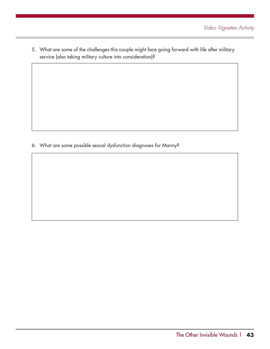5. What are some of the challenges this couple might face going forward with life after military service (also taking military culture into consideration)?

6. What are some possible sexual dysfunction diagnoses for Manny?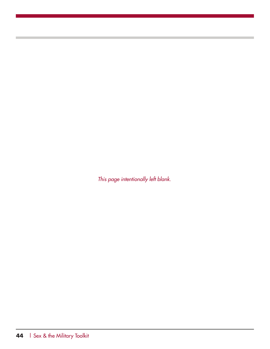*This page intentionally left blank.*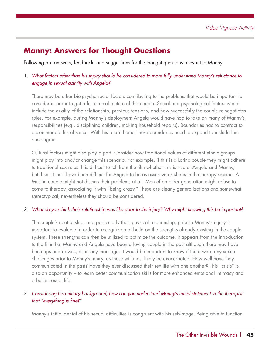## **Manny: Answers for Thought Questions**

Following are answers, feedback, and suggestions for the thought questions relevant to Manny.

#### 1. *What factors other than his injury should be considered to more fully understand Manny's reluctance to engage in sexual activity with Angela?*

There may be other bio-psycho-social factors contributing to the problems that would be important to consider in order to get a full clinical picture of this couple. Social and psychological factors would include the quality of the relationship, previous tensions, and how successfully the couple re-negotiates roles. For example, during Manny's deployment Angela would have had to take on many of Manny's responsibilities (e.g., disciplining children, making household repairs). Boundaries had to contract to accommodate his absence. With his return home, these boundaries need to expand to include him once again.

Cultural factors might also play a part. Consider how traditional values of different ethnic groups might play into and/or change this scenario. For example, if this is a Latino couple they might adhere to traditional sex roles. It is difficult to tell from the film whether this is true of Angela and Manny, but if so, it must have been difficult for Angela to be as assertive as she is in the therapy session. A Muslim couple might not discuss their problems at all. Men of an older generation might refuse to come to therapy, associating it with "being crazy." These are clearly generalizations and somewhat stereotypical; nevertheless they should be considered.

#### 2. *What do you think their relationship was like prior to the injury? Why might knowing this be important?*

The couple's relationship, and particularly their physical relationship, prior to Manny's injury is important to evaluate in order to recognize and build on the strengths already existing in the couple system. These strengths can then be utilized to optimize the outcome. It appears from the introduction to the film that Manny and Angela have been a loving couple in the past although there may have been ups and downs, as in any marriage. It would be important to know if there were any sexual challenges prior to Manny's injury, as these will most likely be exacerbated. How well have they communicated in the past? Have they ever discussed their sex life with one another? This "crisis" is also an opportunity – to learn better communication skills for more enhanced emotional intimacy and a better sexual life.

#### 3. *Considering his military background, how can you understand Manny's initial statement to the therapist that "everything is fine?"*

Manny's initial denial of his sexual difficulties is congruent with his self-image. Being able to function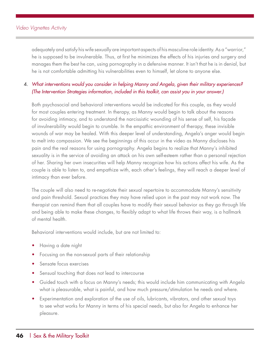#### *Video Vignettes Activity*

adequately and satisfy his wife sexually are important aspects of his masculine role identity. As a "warrior," he is supposed to be invulnerable. Thus, at first he minimizes the effects of his injuries and surgery and manages them the best he can, using pornography in a defensive manner. It isn't that he is in denial, but he is not comfortable admitting his vulnerabilities even to himself, let alone to anyone else.

#### 4. *What interventions would you consider in helping Manny and Angela, given their military experiences? (The Intervention Strategies information, included in this toolkit, can assist you in your answer.)*

Both psychosocial and behavioral interventions would be indicated for this couple, as they would for most couples entering treatment. In therapy, as Manny would begin to talk about the reasons for avoiding intimacy, and to understand the narcissistic wounding of his sense of self, his façade of invulnerability would begin to crumble. In the empathic environment of therapy, these invisible wounds of war may be healed. With this deeper level of understanding, Angela's anger would begin to melt into compassion. We see the beginnings of this occur in the video as Manny discloses his pain and the real reasons for using pornography. Angela begins to realize that Manny's inhibited sexuality is in the service of avoiding an attack on his own self-esteem rather than a personal rejection of her. Sharing her own insecurities will help Manny recognize how his actions affect his wife. As the couple is able to listen to, and empathize with, each other's feelings, they will reach a deeper level of intimacy than ever before.

The couple will also need to re-negotiate their sexual repertoire to accommodate Manny's sensitivity and pain threshold. Sexual practices they may have relied upon in the past may not work now. The therapist can remind them that all couples have to modify their sexual behavior as they go through life and being able to make these changes, to flexibly adapt to what life throws their way, is a hallmark of mental health.

Behavioral interventions would include, but are not limited to:

- Having a date night
- Focusing on the non-sexual parts of their relationship
- Sensate focus exercises
- Sensual touching that does not lead to intercourse
- Guided touch with a focus on Manny's needs; this would include him communicating with Angela what is pleasurable, what is painful, and how much pressure/stimulation he needs and where.
- Experimentation and exploration of the use of oils, lubricants, vibrators, and other sexual toys to see what works for Manny in terms of his special needs, but also for Angela to enhance her pleasure.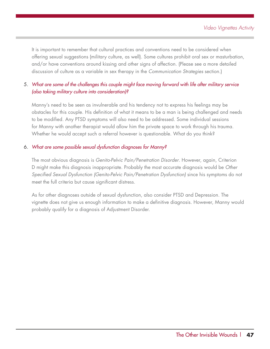It is important to remember that cultural practices and conventions need to be considered when offering sexual suggestions (military culture, as well). Some cultures prohibit oral sex or masturbation, and/or have conventions around kissing and other signs of affection. (Please see a more detailed discussion of culture as a variable in sex therapy in the Communication Strategies section.)

#### 5. *What are some of the challenges this couple might face moving forward with life after military service (also taking military culture into consideration)?*

Manny's need to be seen as invulnerable and his tendency not to express his feelings may be obstacles for this couple. His definition of what it means to be a man is being challenged and needs to be modified. Any PTSD symptoms will also need to be addressed. Some individual sessions for Manny with another therapist would allow him the private space to work through his trauma. Whether he would accept such a referral however is questionable. What do you think?

#### 6. *What are some possible sexual dysfunction diagnoses for Manny?*

The most obvious diagnosis is *Genito-Pelvic Pain/Penetration Disorder*. However, again, Criterion D might make this diagnosis inappropriate. Probably the most accurate diagnosis would be *Other Specified Sexual Dysfunction (Genito-Pelvic Pain/Penetration Dysfunction)* since his symptoms do not meet the full criteria but cause significant distress.

As for other diagnoses outside of sexual dysfunction, also consider PTSD and Depression. The vignette does not give us enough information to make a definitive diagnosis. However, Manny would probably qualify for a diagnosis of Adjustment Disorder.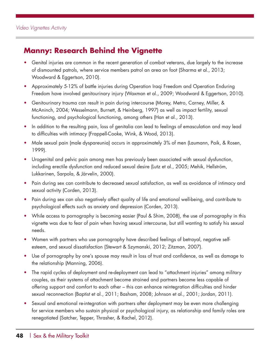## **Manny: Research Behind the Vignette**

- Genital injuries are common in the recent generation of combat veterans, due largely to the increase of dismounted patrols, where service members patrol an area on foot (Sharma et al., 2013; Woodward & Eggertson, 2010).
- Approximately 5-12% of battle injuries during Operation Iraqi Freedom and Operation Enduring Freedom have involved genitourinary injury (Waxman et al., 2009; Woodward & Eggertson, 2010).
- Genitourinary trauma can result in pain during intercourse (Morey, Metro, Carney, Miller, & McAninch, 2004; Wesselmann, Burnett, & Heinberg, 1997) as well as impact fertility, sexual functioning, and psychological functioning, among others (Han et al., 2013).
- In addition to the resulting pain, loss of genitalia can lead to feelings of emasculation and may lead to difficulties with intimacy (Frappell-Cooke, Wink, & Wood, 2013).
- Male sexual pain (male dyspareunia) occurs in approximately 3% of men (Laumann, Paik, & Rosen, 1999).
- Urogenital and pelvic pain among men has previously been associated with sexual dysfunction, including erectile dysfunction and reduced sexual desire (Lutz et al., 2005; Mehik, Hellström, Lukkarinen, Sarpola, & Järvelin, 2000).
- Pain during sex can contribute to decreased sexual satisfaction, as well as avoidance of intimacy and sexual activity (Corden, 2013).
- Pain during sex can also negatively affect quality of life and emotional well-being, and contribute to psychological effects such as anxiety and depression (Corden, 2013).
- While access to pornography is becoming easier (Paul & Shim, 2008), the use of pornography in this vignette was due to fear of pain when having sexual intercourse, but still wanting to satisfy his sexual needs.
- Women with partners who use pornography have described feelings of betrayal, negative selfesteem, and sexual dissatisfaction (Stewart & Szymanski, 2012; Zitzman, 2007).
- Use of pornography by one's spouse may result in loss of trust and confidence, as well as damage to the relationship (Manning, 2006).
- The rapid cycles of deployment and re-deployment can lead to "attachment injuries" among military couples, as their systems of attachment become strained and partners become less capable of offering support and comfort to each other – this can enhance reintegration difficulties and hinder sexual reconnection (Baptist et al., 2011; Basham, 2008; Johnson et al., 2001; Jordan, 2011).
- Sexual and emotional re-integration with partners after deployment may be even more challenging for service members who sustain physical or psychological injury, as relationship and family roles are renegotiated (Satcher, Tepper, Thrasher, & Rachel, 2012).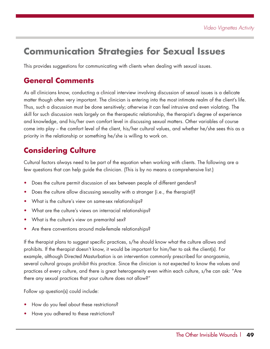# **Communication Strategies for Sexual Issues**

This provides suggestions for communicating with clients when dealing with sexual issues.

## **General Comments**

As all clinicians know, conducting a clinical interview involving discussion of sexual issues is a delicate matter though often very important. The clinician is entering into the most intimate realm of the client's life. Thus, such a discussion must be done sensitively; otherwise it can feel intrusive and even violating. The skill for such discussion rests largely on the therapeutic relationship, the therapist's degree of experience and knowledge, and his/her own comfort level in discussing sexual matters. Other variables of course come into play – the comfort level of the client, his/her cultural values, and whether he/she sees this as a priority in the relationship or something he/she is willing to work on.

## **Considering Culture**

Cultural factors always need to be part of the equation when working with clients. The following are a few questions that can help guide the clinician. (This is by no means a comprehensive list.)

- Does the culture permit discussion of sex between people of different genders?
- Does the culture allow discussing sexuality with a stranger (i.e., the therapist)?
- What is the culture's view on same-sex relationships?
- What are the culture's views on interracial relationships?
- What is the culture's view on premarital sex?
- Are there conventions around male-female relationships?

If the therapist plans to suggest specific practices, s/he should know what the culture allows and prohibits. If the therapist doesn't know, it would be important for him/her to ask the client(s). For example, although Directed Masturbation is an intervention commonly prescribed for anorgasmia, several cultural groups prohibit this practice. Since the clinician is not expected to know the values and practices of every culture, and there is great heterogeneity even within each culture, s/he can ask: "Are there any sexual practices that your culture does not allow?"

Follow up question(s) could include:

- How do you feel about these restrictions?
- Have you adhered to these restrictions?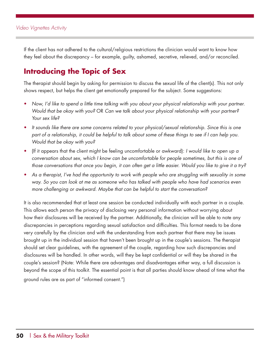If the client has not adhered to the cultural/religious restrictions the clinician would want to know how they feel about the discrepancy – for example, guilty, ashamed, secretive, relieved, and/or reconciled.

## **Introducing the Topic of Sex**

The therapist should begin by asking for permission to discuss the sexual life of the client(s). This not only shows respect, but helps the client get emotionally prepared for the subject. Some suggestions:

- Now, I'd like to spend a little time talking with you about your physical relationship with your partner. Would that be okay with you? OR Can we talk about your physical relationship with your partner? Your sex life?
- It sounds like there are some concerns related to your physical/sexual relationship. Since this is one part of a relationship, it could be helpful to talk about some of these things to see if I can help you. Would that be okay with you?
- (If it appears that the client might be feeling uncomfortable or awkward): I would like to open up a conversation about sex, which I know can be uncomfortable for people sometimes, but this is one of those conversations that once you begin, it can often get a little easier. Would you like to give it a try?
- As a therapist, I've had the opportunity to work with people who are struggling with sexuality in some way. So you can look at me as someone who has talked with people who have had scenarios even more challenging or awkward. Maybe that can be helpful to start the conversation?

It is also recommended that at least one session be conducted individually with each partner in a couple. This allows each person the privacy of disclosing very personal information without worrying about how their disclosures will be received by the partner. Additionally, the clinician will be able to note any discrepancies in perceptions regarding sexual satisfaction and difficulties. This format needs to be done very carefully by the clinician and with the understanding from each partner that there may be issues brought up in the individual session that haven't been brought up in the couple's sessions. The therapist should set clear guidelines, with the agreement of the couple, regarding how such discrepancies and disclosures will be handled. In other words, will they be kept confidential or will they be shared in the couple's session? (Note: While there are advantages and disadvantages either way, a full discussion is beyond the scope of this toolkit. The essential point is that all parties should know ahead of time what the ground rules are as part of "informed consent.")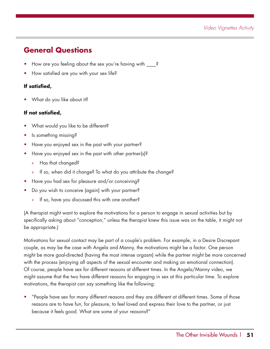## **General Questions**

- How are you feeling about the sex you're having with  $\qquad$ ?
- How satisfied are you with your sex life?

#### **If satisfied,**

• What do you like about it?

#### **If not satisfied,**

- What would you like to be different?
- Is something missing?
- Have you enjoyed sex in the past with your partner?
- Have you enjoyed sex in the past with other partner(s)?
	- » Has that changed?
	- If so, when did it change? To what do you attribute the change?
- Have you had sex for pleasure and/or conceiving?
- Do you wish to conceive (again) with your partner?
	- » If so, have you discussed this with one another?

(A therapist might want to explore the motivations for a person to engage in sexual activities but by specifically asking about "conception," unless the therapist knew this issue was on the table, it might not be appropriate.)

Motivations for sexual contact may be part of a couple's problem. For example, in a Desire Discrepant couple, as may be the case with Angela and Manny, the motivations might be a factor. One person might be more goal-directed (having the most intense orgasm) while the partner might be more concerned with the process (enjoying all aspects of the sexual encounter and making an emotional connection). Of course, people have sex for different reasons at different times. In the Angela/Manny video, we might assume that the two have different reasons for engaging in sex at this particular time. To explore motivations, the therapist can say something like the following:

• "People have sex for many different reasons and they are different at different times. Some of those reasons are to have fun, for pleasure, to feel loved and express their love to the partner, or just because it feels good. What are some of your reasons?"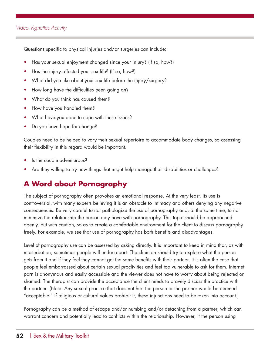#### *Video Vignettes Activity*

Questions specific to physical injuries and/or surgeries can include:

- Has your sexual enjoyment changed since your injury? (If so, how?)
- Has the injury affected your sex life? (If so, how?)
- What did you like about your sex life before the injury/surgery?
- How long have the difficulties been going on?
- What do you think has caused them?
- How have you handled them?
- What have you done to cope with these issues?
- Do you have hope for change?

Couples need to be helped to vary their sexual repertoire to accommodate body changes, so assessing their flexibility in this regard would be important.

- Is the couple adventurous?
- Are they willing to try new things that might help manage their disabilities or challenges?

## **A Word about Pornography**

The subject of pornography often provokes an emotional response. At the very least, its use is controversial, with many experts believing it is an obstacle to intimacy and others denying any negative consequences. Be very careful to not pathologize the use of pornography and, at the same time, to not minimize the relationship the person may have with pornography. This topic should be approached openly, but with caution, so as to create a comfortable environment for the client to discuss pornography freely. For example, we see that use of pornography has both benefits and disadvantages.

Level of pornography use can be assessed by asking directly. It is important to keep in mind that, as with masturbation, sometimes people will under-report. The clinician should try to explore what the person gets from it and if they feel they cannot get the same benefits with their partner. It is often the case that people feel embarrassed about certain sexual proclivities and feel too vulnerable to ask for them. Internet porn is anonymous and easily accessible and the viewer does not have to worry about being rejected or shamed. The therapist can provide the acceptance the client needs to bravely discuss the practice with the partner. (Note: Any sexual practice that does not hurt the person or the partner would be deemed "acceptable." If religious or cultural values prohibit it, these injunctions need to be taken into account.)

Pornography can be a method of escape and/or numbing and/or detaching from a partner, which can warrant concern and potentially lead to conflicts within the relationship. However, if the person using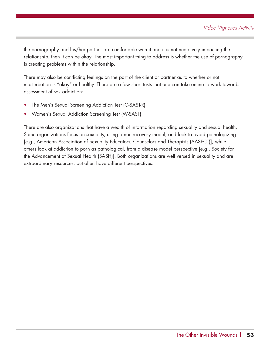the pornography and his/her partner are comfortable with it and it is not negatively impacting the relationship, then it can be okay. The most important thing to address is whether the use of pornography is creating problems within the relationship.

There may also be conflicting feelings on the part of the client or partner as to whether or not masturbation is "okay" or healthy. There are a few short tests that one can take online to work towards assessment of sex addiction:

- The Men's Sexual Screening Addiction Test (G-SAST-R)
- Women's Sexual Addiction Screening Test (W-SAST)

There are also organizations that have a wealth of information regarding sexuality and sexual health. Some organizations focus on sexuality, using a non-recovery model, and look to avoid pathologizing [e.g., American Association of Sexuality Educators, Counselors and Therapists (AASECT)], while others look at addiction to porn as pathological, from a disease model perspective [e.g., Society for the Advancement of Sexual Health (SASH)]. Both organizations are well versed in sexuality and are extraordinary resources, but often have different perspectives.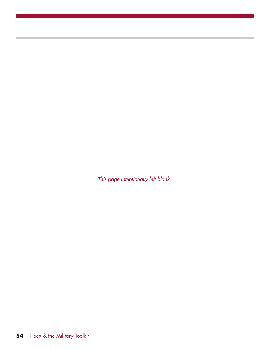*This page intentionally left blank.*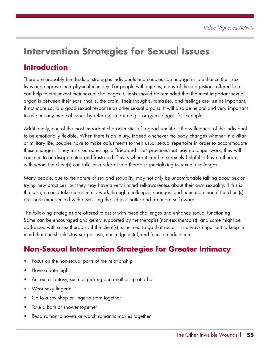# **Intervention Strategies for Sexual Issues**

## **Introduction**

There are probably hundreds of strategies individuals and couples can engage in to enhance their sex lives and improve their physical intimacy. For people with injuries, many of the suggestions offered here can help to circumvent their sexual challenges. Clients should be reminded that the most important sexual organ is between their ears, that is, the brain. Their thoughts, fantasies, and feelings are just as important, if not more so, to a good sexual response as other sexual organs. It will also be helpful and very important to rule out any medical issues by referring to a urologist or gynecologist, for example.

Additionally, one of the most important characteristics of a good sex life is the willingness of the individual to be emotionally flexible. When there is an injury, indeed whenever the body changes whether in civilian or military life, couples have to make adjustments to their usual sexual repertoire in order to accommodate these changes. If they insist on adhering to "tried and true" practices that may no longer work, they will continue to be disappointed and frustrated. This is where it can be extremely helpful to have a therapist with whom the client(s) can talk, or a referral to a therapist specializing in sexual challenges.

Many people, due to the nature of sex and sexuality, may not only be uncomfortable talking about sex or trying new practices, but they may have a very limited self-awareness about their own sexuality. If this is the case, it could take more time to work through challenges, changes, and education than if the client(s) are more experienced with discussing the subject matter and are more self-aware.

The following strategies are offered to assist with these challenges and enhance sexual functioning. Some can be encouraged and gently supported by the therapist (non-sex therapist), and some might be addressed with a sex therapist, if the client(s) is inclined to go that route. It is always important to keep in mind that one should stay sex-positive, non-judgmental, and focus on education.

## **Non-Sexual Intervention Strategies for Greater Intimacy**

- Focus on the non-sexual parts of the relationship
- Have a date night
- Act out a fantasy, such as picking one another up at a bar
- Wear sexy lingerie
- Go to a sex shop or lingerie store together
- Take a bath or shower together
- Read romantic novels or watch romantic movies together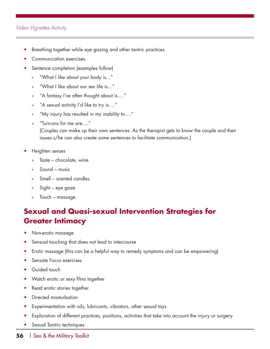### *Video Vignettes Activity*

- Breathing together while eye gazing and other tantric practices
- Communication exercises
- Sentence completion (examples follow)
	- » "What I like about your body is..."
	- » "What I like about our sex life is…"
	- » "A fantasy I've often thought about is…."
	- » "A sexual activity I'd like to try is…."
	- » "My injury has resulted in my inability to…."
	- » "Turn-ons for me are…."

(Couples can make up their own sentences. As the therapist gets to know the couple and their issues s/he can also create some sentences to facilitate communication.)

- Heighten senses
	- » Taste chocolate, wine
	- » Sound music
	- » Smell scented candles
	- » Sight eye gaze
	- » Touch massage

## **Sexual and Quasi-sexual Intervention Strategies for Greater Intimacy**

- Non-erotic massage
- Sensual touching that does not lead to intercourse
- Erotic massage (this can be a helpful way to remedy symptoms and can be empowering)
- Sensate Focus exercises
- Guided touch
- Watch erotic or sexy films together
- Read erotic stories together
- Directed masturbation
- Experimentation with oils, lubricants, vibrators, other sexual toys
- Exploration of different practices, positions, activities that take into account the injury or surgery
- Sexual Tantric techniques
- **56** Sex & the Military Toolkit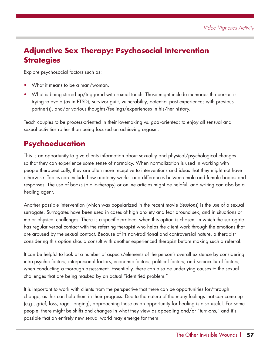## **Adjunctive Sex Therapy: Psychosocial Intervention Strategies**

Explore psychosocial factors such as:

- What it means to be a man/woman.
- What is being stirred up/triggered with sexual touch. These might include memories the person is trying to avoid (as in PTSD), survivor guilt, vulnerability, potential past experiences with previous partner(s), and/or various thoughts/feelings/experiences in his/her history.

Teach couples to be process-oriented in their lovemaking vs. goal-oriented: to enjoy all sensual and sexual activities rather than being focused on achieving orgasm.

## **Psychoeducation**

This is an opportunity to give clients information about sexuality and physical/psychological changes so that they can experience some sense of normalcy. When normalization is used in working with people therapeutically, they are often more receptive to interventions and ideas that they might not have otherwise. Topics can include how anatomy works, and differences between male and female bodies and responses. The use of books (biblio-therapy) or online articles might be helpful, and writing can also be a healing agent.

Another possible intervention (which was popularized in the recent movie Sessions) is the use of a sexual surrogate. Surrogates have been used in cases of high anxiety and fear around sex, and in situations of major physical challenges. There is a specific protocol when this option is chosen, in which the surrogate has regular verbal contact with the referring therapist who helps the client work through the emotions that are aroused by the sexual contact. Because of its non-traditional and controversial nature, a therapist considering this option should consult with another experienced therapist before making such a referral.

It can be helpful to look at a number of aspects/elements of the person's overall existence by considering: intra-psychic factors, interpersonal factors, economic factors, political factors, and sociocultural factors, when conducting a thorough assessment. Essentially, there can also be underlying causes to the sexual challenges that are being masked by an actual "identified problem."

It is important to work with clients from the perspective that there can be opportunities for/through change, as this can help them in their progress. Due to the nature of the many feelings that can come up (e.g., grief, loss, rage, longing), approaching these as an opportunity for healing is also useful. For some people, there might be shifts and changes in what they view as appealing and/or "turn-ons," and it's possible that an entirely new sexual world may emerge for them.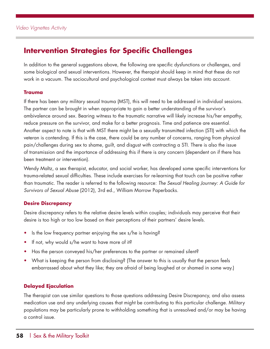## **Intervention Strategies for Specific Challenges**

In addition to the general suggestions above, the following are specific dysfunctions or challenges, and some biological and sexual interventions. However, the therapist should keep in mind that these do not work in a vacuum. The sociocultural and psychological context must always be taken into account.

#### **Trauma**

If there has been any military sexual trauma (MST), this will need to be addressed in individual sessions. The partner can be brought in when appropriate to gain a better understanding of the survivor's ambivalence around sex. Bearing witness to the traumatic narrative will likely increase his/her empathy, reduce pressure on the survivor, and make for a better prognosis. Time and patience are essential. Another aspect to note is that with MST there might be a sexually transmitted infection (STI) with which the veteran is contending. If this is the case, there could be any number of concerns, ranging from physical pain/challenges during sex to shame, guilt, and disgust with contracting a STI. There is also the issue of transmission and the importance of addressing this if there is any concern (dependent on if there has been treatment or intervention).

Wendy Maltz, a sex therapist, educator, and social worker, has developed some specific interventions for trauma-related sexual difficulties. These include exercises for re-learning that touch can be positive rather than traumatic. The reader is referred to the following resource: The Sexual Healing Journey: A Guide for Survivors of Sexual Abuse (2012), 3rd ed., William Morrow Paperbacks.

#### **Desire Discrepancy**

Desire discrepancy refers to the relative desire levels within couples; individuals may perceive that their desire is too high or too low based on their perceptions of their partners' desire levels.

- Is the low frequency partner enjoying the sex s/he is having?
- If not, why would s/he want to have more of it?
- Has the person conveyed his/her preferences to the partner or remained silent?
- What is keeping the person from disclosing? (The answer to this is usually that the person feels embarrassed about what they like; they are afraid of being laughed at or shamed in some way.)

#### **Delayed Ejaculation**

The therapist can use similar questions to those questions addressing Desire Discrepancy, and also assess medication use and any underlying causes that might be contributing to this particular challenge. Military populations may be particularly prone to withholding something that is unresolved and/or may be having a control issue.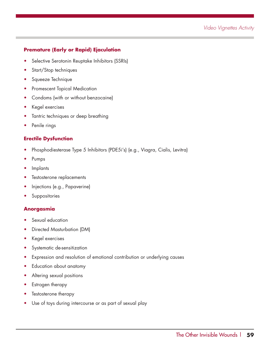## **Premature (Early or Rapid) Ejaculation**

- Selective Serotonin Reuptake Inhibitors (SSRIs)
- Start/Stop techniques
- Squeeze Technique
- Promescent Topical Medication
- Condoms (with or without benzocaine)
- Kegel exercises
- Tantric techniques or deep breathing
- Penile rings

#### **Erectile Dysfunction**

- Phosphodiesterase Type 5 Inhibitors (PDE5i's) (e.g., Viagra, Cialis, Levitra)
- Pumps
- Implants
- Testosterone replacements
- Injections (e.g., Papaverine)
- Suppositories

#### **Anorgasmia**

- Sexual education
- Directed Masturbation (DM)
- Kegel exercises
- Systematic de-sensitization
- Expression and resolution of emotional contribution or underlying causes
- Education about anatomy
- Altering sexual positions
- Estrogen therapy
- Testosterone therapy
- Use of toys during intercourse or as part of sexual play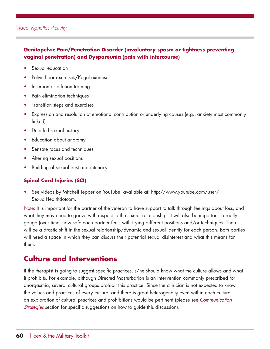## **Genitopelvic Pain/Penetration Disorder (involuntary spasm or tightness preventing vaginal penetration) and Dyspareunia (pain with intercourse)**

- Sexual education
- Pelvic floor exercises/Kegel exercises
- Insertion or dilation training
- Pain elimination techniques
- Transition steps and exercises
- Expression and resolution of emotional contribution or underlying causes (e.g., anxiety most commonly linked)
- Detailed sexual history
- Education about anatomy
- Sensate focus and techniques
- Altering sexual positions
- Building of sexual trust and intimacy

#### **Spinal Cord Injuries (SCI)**

• See videos by Mitchell Tepper on YouTube, available at: http://www.youtube.com/user/ SexualHealthdotcom.

Note: It is important for the partner of the veteran to have support to talk through feelings about loss, and what they may need to grieve with respect to the sexual relationship. It will also be important to really gauge (over time) how safe each partner feels with trying different positions and/or techniques. There will be a drastic shift in the sexual relationship/dynamic and sexual identity for each person. Both parties will need a space in which they can discuss their potential sexual disinterest and what this means for them.

## **Culture and Interventions**

If the therapist is going to suggest specific practices, s/he should know what the culture allows and what it prohibits. For example, although Directed Masturbation is an intervention commonly prescribed for anorgasmia, several cultural groups prohibit this practice. Since the clinician is not expected to know the values and practices of every culture, and there is great heterogeneity even within each culture, an exploration of cultural practices and prohibitions would be pertinent (please see *Communication Strategies* section for specific suggestions on how to guide this discussion).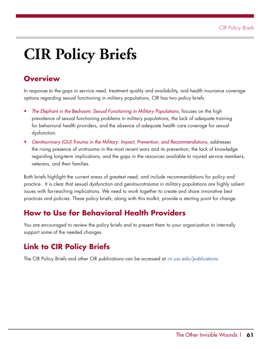# **CIR Policy Briefs**

## **Overview**

In response to the gaps in service need, treatment quality and availability, and health insurance coverage options regarding sexual functioning in military populations, CIR has two policy briefs.

- *The Elephant in the Bedroom: Sexual Functioning in Military Populations*, focuses on the high prevalence of sexual functioning problems in military populations, the lack of adequate training for behavioral health providers, and the absence of adequate health care coverage for sexual dysfunction.
- *Genitourinary (GU) Trauma in the Military: Impact, Prevention, and Recommendations,* addresses the rising presence of urotrauma in the most recent wars and its prevention; the lack of knowledge regarding long-term implications; and the gaps in the resources available to injured service members, veterans, and their families.

Both briefs highlight the current areas of greatest need, and include recommendations for policy and practice. It is clear that sexual dysfunction and genitourotrauma in military populations are highly salient issues with far-reaching implications. We need to work together to create and share innovative best practices and policies. These policy briefs, along with this toolkit, provide a starting point for change.

## **How to Use for Behavioral Health Providers**

You are encouraged to review the policy briefs and to present them to your organization to internally support some of the needed changes.

## **Link to CIR Policy Briefs**

The CIR Policy Briefs and other CIR publications can be accessed at *cir.usc.edu/publications.*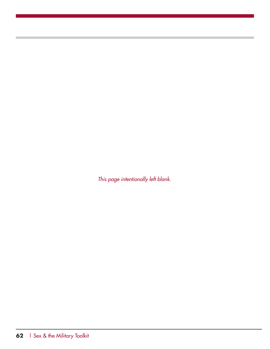*This page intentionally left blank.*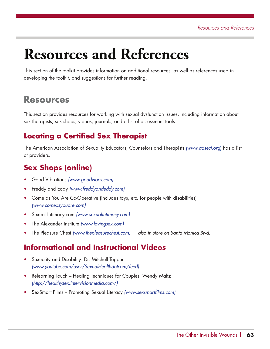# **Resources and References**

This section of the toolkit provides information on additional resources, as well as references used in developing the toolkit, and suggestions for further reading.

# **Resources**

This section provides resources for working with sexual dysfunction issues, including information about sex therapists, sex shops, videos, journals, and a list of assessment tools.

## **Locating a Certified Sex Therapist**

The American Association of Sexuality Educators, Counselors and Therapists *(www.aasect.org*) has a list of providers.

## **Sex Shops (online)**

- Good Vibrations *(www.goodvibes.com)*
- Freddy and Eddy *(www.freddyandeddy.com)*
- Come as You Are Co-Operative (includes toys, etc. for people with disabilities) *(www.comeasyouare.com)*
- Sexual Intimacy.com *(www.sexualintimacy.com)*
- The Alexander Institute *(www.lovingsex.com)*
- The Pleasure Chest *(www.thepleasurechest.com) also in store on Santa Monica Blvd.*

## **Informational and Instructional Videos**

- Sexuality and Disability: Dr. Mitchell Tepper *(www.youtube.com/user/SexualHealthdotcom/feed)*
- Relearning Touch Healing Techniques for Couples: Wendy Maltz *(http://healthysex.intervisionmedia.com/)*
- SexSmart Films Promoting Sexual Literacy *(www.sexsmartfilms.com)*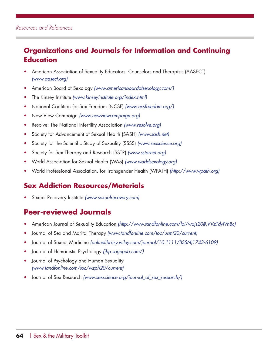## **Organizations and Journals for Information and Continuing Education**

- American Association of Sexuality Educators, Counselors and Therapists (AASECT) *(www.aasect.org)*
- American Board of Sexology *(www.americanboardofsexology.com/)*
- The Kinsey Institute *(www.kinseyinstitute.org/index.html)*
- National Coalition for Sex Freedom (NCSF) *(www.ncsfreedom.org/)*
- New View Campaign *(www.newviewcampaign.org)*
- Resolve: The National Infertility Association *(www.resolve.org)*
- Society for Advancement of Sexual Health (SASH) *(www.sash.net)*
- Society for the Scientific Study of Sexuality (SSSS) *(www.sexscience.org)*
- Society for Sex Therapy and Research (SSTR) *(www.sstarnet.org)*
- World Association for Sexual Health (WAS) *(www.worldsexology.org)*
- World Professional Association. for Transgender Health (WPATH) *(http://www.wpath.org)*

## **Sex Addiction Resources/Materials**

• Sexual Recovery Institute *(www.sexualrecovery.com)*

## **Peer-reviewed Journals**

- American Journal of Sexuality Education *(http://www.tandfonline.com/loi/wajs20#.VVzTdvlVhBc)*
- Journal of Sex and Marital Therapy *(www.tandfonline.com/toc/usmt20/current)*
- Journal of Sexual Medicine *(onlinelibrary.wiley.com/journal/10.1111/(ISSN)1743-6109)*
- Journal of Humanistic Psychology *(jhp.sagepub.com/)*
- Journal of Psychology and Human Sexuality *(www.tandfonline.com/toc/wzph20/current)*
- Journal of Sex Research *(www.sexscience.org/journal\_of\_sex\_research/)*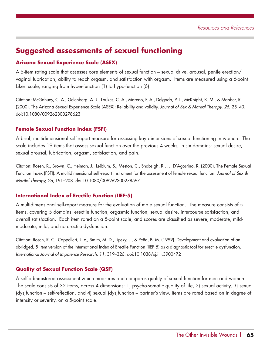## **Suggested assessments of sexual functioning**

#### **Arizona Sexual Experience Scale (ASEX)**

A 5-item rating scale that assesses core elements of sexual function – sexual drive, arousal, penile erection/ vaginal lubrication, ability to reach orgasm, and satisfaction with orgasm. Items are measured using a 6-point Likert scale, ranging from hyper-function (1) to hypo-function (6).

Citation*:* McGahuey, C. A., Gelenberg, A. J., Laukes, C. A., Moreno, F. A., Delgado, P. L., McKnight, K. M., & Manber, R. (2000). The Arizona Sexual Experience Scale (ASEX): Reliability and validity. *Journal of Sex & Marital Therapy, 26*, 25–40. doi:10.1080/009262300278623

#### **Female Sexual Function Index (FSFI)**

A brief, multidimensional self-report measure for assessing key dimensions of sexual functioning in women. The scale includes 19 items that assess sexual function over the previous 4 weeks, in six domains: sexual desire, sexual arousal, lubrication, orgasm, satisfaction, and pain.

Citation: Rosen, R., Brown, C., Heiman, J., Leiblum, S., Meston, C., Shabsigh, R., … D'Agostino, R. (2000). The Female Sexual Function Index (FSFI): A multidimensional self-report instrument for the assessment of female sexual function. *Journal of Sex & Marital Therapy, 26*, 191–208. doi:10.1080/009262300278597

#### **International Index of Erectile Function (IIEF-5)**

A multidimensional self-report measure for the evaluation of male sexual function. The measure consists of 5 items, covering 5 domains: erectile function, orgasmic function, sexual desire, intercourse satisfaction, and overall satisfaction. Each item rated on a 5-point scale, and scores are classified as severe, moderate, mildmoderate, mild, and no erectile dysfunction.

Citation: Rosen, R. C., Cappelleri, J. c., Smith, M. D., Lipsky, J., & Peña, B. M. (1999). Development and evaluation of an abridged, 5-item version of the International Index of Erectile Function (IIEF-5) as a diagnostic tool for erectile dysfunction. *International Journal of Impotence Research, 11*, 319–326. doi:10.1038/sj.ijir.3900472

#### **Quality of Sexual Function Scale (QSF)**

A self-administered assessment which measures and compares quality of sexual function for men and women. The scale consists of 32 items, across 4 dimensions: 1) psycho-somatic quality of life, 2) sexual activity, 3) sexual (dys)function – self-reflection, and 4) sexual (dys)function – partner's view. Items are rated based on in degree of intensity or severity, on a 5-point scale.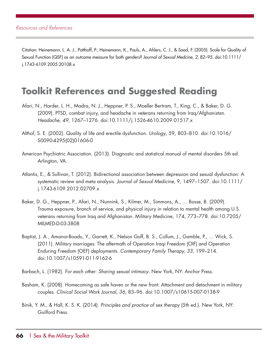Citation: Heinemann, L. A. J., Potthoff, P., Heinemann, K., Pauls, A., Ahlers, C. J., & Saad, F. (2005). Scale for Quality of Sexual Function (QSF) as an outcome measure for both genders? *Journal of Sexual Medcine, 2*, 82–95. doi:10.1111/ j.1743-6109.2005.20108.x

# **Toolkit References and Suggested Reading**

- Afari, N., Harder, L. H., Madra, N. J., Heppner, P. S., Moeller Bertram, T., King, C., & Baker, D. G. (2009). PTSD, combat injury, and headache in veterans returning from Iraq/Afghanistan. Headache, 49, 1267–1276. doi:10.1111/j.1526-4610.2009.01517.x
- Althof, S. E. (2002). Quality of life and erectile dysfunction. Urology, 59, 803–810. doi:10.1016/ S0090-4295(02)01606-0
- American Psychiatric Association. (2013). Diagnostic and statistical manual of mental disorders 5th ed. Arlington, VA.
- Atlantis, E., & Sullivan, T. (2012). Bidirectional association between depression and sexual dysfunction: A systematic review and meta analysis. Journal of Sexual Medicine, 9, 1497–1507. doi:10.1111/ j.1743-6109.2012.02709.x
- Baker, D. G., Heppner, P., Afari, N., Nunnink, S., Kilmer, M., Simmons, A., … Bosse, B. (2009). Trauma exposure, branch of service, and physical injury in relation to mental health among U.S. veterans returning from Iraq and Afghanistan. Military Medicine, 174, 773–778. doi:10.7205/ MILMED-D-03-3808
- Baptist, J. A., Amanor-Boadu, Y., Garrett, K., Nelson Goff, B. S., Collum, J., Gamble, P., … Wick, S. (2011). Military marriages: The aftermath of Operation Iraqi Freedom (OIF) and Operation Enduring Freedom (OEF) deployments. Contemporary Family Therapy, 33, 199–214. doi:10.1007/s10591-011-9162-6
- Barbach, L. (1982). For each other: Sharing sexual intimacy. New York, NY: Anchor Press.
- Basham, K. (2008). Homecoming as safe haven or the new front: Attachment and detachment in military couples. Clinical Social Work Journal, 36, 83–96. doi:10.1007/s10615-007-0138-9
- Binik, Y. M., & Hall, K. S. K. (2014). Principles and practice of sex therapy (5th ed.). New York, NY: Guilford Press.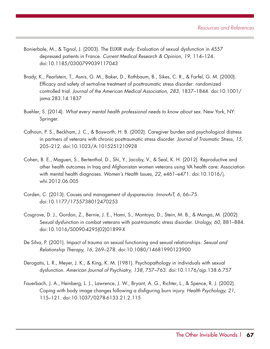- Bonierbale, M., & Tignol, J. (2003). The ELIXIR study: Evaluation of sexual dysfunction in 4557 depressed patients in France. Current Medical Research & Opinion, 19, 114–124. doi:10.1185/0300799039117043
- Brady, K., Pearlstein, T., Asnis, G. M., Baker, D., Rothbaum, B., Sikes, C. R., & Farfel, G. M. (2000). Efficacy and safety of sertraline treatment of posttraumatic stress disorder: randomized controlled trial. Journal of the American Medical Association, 283, 1837–1844. doi:10.1001/ jama.283.14.1837
- Buehler, S. (2014). What every mental health professional needs to know about sex. New York, NY: Springer.
- Calhoun, P. S., Beckham, J. C., & Bosworth, H. B. (2002). Caregiver burden and psychological distress in partners of veterans with chronic posttraumatic stress disorder. Journal of Traumatic Stress, 15, 205–212. doi:10.1023/A:1015251210928
- Cohen, B. E., Maguen, S., Bertenthal, D., Shi, Y., Jacoby, V., & Seal, K. H. (2012). Reproductive and other health outcomes in Iraq and Afghanistan women veterans using VA health care: Association with mental health diagnoses. Women's Health Issues, 22, e461-e471. doi:10.1016/j. whi.2012.06.005
- Corden, C. (2013). Causes and management of dyspareunia. InnovAiT, 6, 66–75. doi:10.1177/1755738012470253
- Cosgrove, D. J., Gordon, Z., Bernie, J. E., Hami, S., Montoya, D., Stein, M. B., & Monga, M. (2002). Sexual dysfunction in combat veterans with post-traumatic stress disorder. Urology, 60, 881–884. doi:10.1016/S0090-4295(02)01899-X
- De Silva, P. (2001). Impact of trauma on sexual functioning and sexual relationships. Sexual and Relationship Therapy, 16, 269–278. doi:10.1080/14681990123900
- Derogatis, L. R., Meyer, J. K., & King, K. M. (1981). Psychopathology in individuals with sexual dysfunction. American Journal of Psychiatry, 138, 757–763. doi:10.1176/ajp.138.6.757
- Fauerbach, J. A., Heinberg, L. J., Lawrence, J. W., Bryant, A. G., Richter, L., & Spence, R. J. (2002). Coping with body image changes following a disfiguring burn injury. Health Psychology, 21, 115–121. doi:10.1037/0278-6133.21.2.115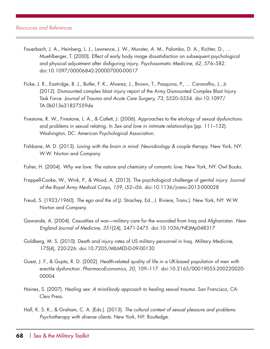- Fauerbach, J. A., Heinberg, L. J., Lawrence, J. W., Munster, A. M., Palombo, D. A., Richter, D., … Muehlberger, T. (2000). Effect of early body image dissatisfaction on subsequent psychological and physical adjustment after disfiguring injury. Psychosomatic Medicine, 62, 576–582. doi:10.1097/00006842-200007000-00017
- Ficke, J. R., Eastridge, B. J., Butler, F. K., Alvarez, J., Brown, T., Pasquina, P., … Caravalho, J., Jr. (2012). Dismounted complex blast injury report of the Army Dismounted Complex Blast Injury Task Force. Journal of Trauma and Acute Care Surgery, 73, S520–S534. doi:10.1097/ TA.0b013e31827559da
- Firestone, R. W., Firestone, L. A., & Catlett, J. (2006). Approaches to the etiology of sexual dysfunctions and problems in sexual relating. In Sex and love in intimate relationships (pp. 111–132). Washington, DC: American Psychological Association.
- Fishbane, M. D. (2013). Loving with the brain in mind: Neurobiology & couple therapy. New York, NY: W.W. Norton and Company.
- Fisher, H. (2004). Why we love: The nature and chemistry of romantic love. New York, NY: Owl Books.
- Frappell-Cooke, W., Wink, P., & Wood, A. (2013). The psychological challenge of genital injury. Journal of the Royal Army Medical Corps, 159, i52–i56. doi:10.1136/jramc-2013-000028
- Freud, S. (1923/1960). The ego and the id (J. Strachey, Ed., J. Riviere, Trans.). New York, NY: W.W. Norton and Company.
- Gawande, A. (2004). Casualties of war—military care for the wounded from Iraq and Afghanistan. New England Journal of Medicine, 351(24), 2471-2475. doi:10.1056/NEJMp048317
- Goldberg, M. S. (2010). Death and injury rates of US military personnel in Iraq. Military Medicine, 175(4), 220-226. doi:10.7205/MILMED-D-09-00130
- Guest, J. F., & Gupta, R. D. (2002). Health-related quality of life in a UK-based population of men with erectile dysfunction. PharmacoEconomics, 20, 109–117. doi:10.2165/00019053-200220020- 00004
- Haines, S. (2007). Healing sex: A mind-body approach to healing sexual trauma. San Francisco, CA: Cleis Press.
- Hall, K. S. K., & Graham, C. A. (Eds.). (2013). The cultural context of sexual pleasure and problems: Psychotherapy with diverse clients. New York, NY: Routledge.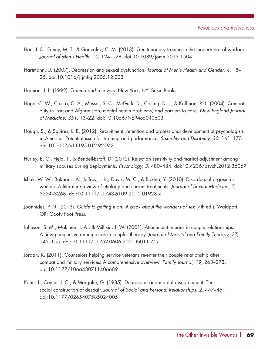- Han, J. S., Edney, M. T., & Gonzalez, C. M. (2013). Genitourinary trauma in the modern era of warfare. Journal of Men's Health, 10, 124–128. doi:10.1089/jomh.2013.1504
- Hartmann, U. (2007). Depression and sexual dysfunction. Journal of Men's Health and Gender, 4, 18– 25. doi:10.1016/j.jmhg.2006.12.003
- Herman, J. L. (1992). Trauma and recovery. New York, NY: Basic Books.
- Hoge, C. W., Castro, C. A., Messer, S. C., McGurk, D., Cotting, D. I., & Koffman, R. L. (2004). Combat duty in Iraq and Afghanistan, mental health problems, and barriers to care. New England Journal of Medicine, 351, 13–22. doi:10.1056/NEJMoa040603
- Hough, S., & Squires, L. E. (2012). Recruitment, retention and professional development of psychologists in America: Potential issue for training and performance. Sexuality and Disability, 30, 161–170. doi:10.1007/s11195-012-9259-3
- Hurley, E. C., Field, T., & Bendell-Estoff, D. (2012). Rejection sensitivity and marital adjustment among military spouses during deployments. Psychology, 3, 480–484. doi:10.4236/psych.2012.36067
- Ishak, W. W., Bokarius, A., Jeffrey, J. K., Davis, M. C., & Bakhta, Y. (2010). Disorders of orgasm in women: A literature review of etiology and current treatments. Journal of Sexual Medicine, 7, 3254–3268. doi:10.1111/j.1743-6109.2010.01928.x
- Joannides, P. N. (2013). Guide to getting it on! A book about the wonders of sex (7th ed.). Waldport, OR: Goofy Foot Press.
- Johnson, S. M., Makinen, J. A., & Millikin, J. W. (2001). Attachment injuries in couple relationships: A new perspective on impasses in couples therapy. Journal of Marital and Family Therapy, 27, 145–155. doi:10.1111/j.1752-0606.2001.tb01152.x
- Jordan, K. (2011). Counselors helping service veterans re-enter their couple relationship after combat and military services: A comprehensive overview. Family Journal, 19, 263–273. doi:10.1177/1066480711406689
- Kahn, J., Coyne, J. C., & Margolin, G. (1985). Depression and marital disagreement: The social construction of despair. Journal of Social and Personal Relationships, 2, 447–461. doi:10.1177/0265407585024005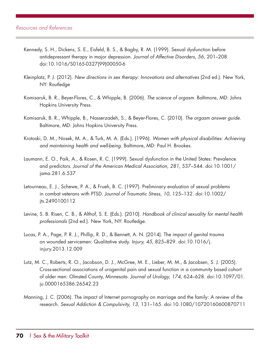- Kennedy, S. H., Dickens, S. E., Eisfeld, B. S., & Bagby, R. M. (1999). Sexual dysfunction before antidepressant therapy in major depression. Journal of Affective Disorders, 56, 201–208. doi:10.1016/S0165-0327(99)00050-6
- Kleinplatz, P. J. (2012). New directions in sex therapy: Innovations and alternatives (2nd ed.). New York, NY: Routledge
- Komisaruk, B. R., Beyer-Flores, C., & Whipple, B. (2006). The science of orgasm. Baltimore, MD: Johns Hopkins University Press.
- Komisaruk, B. R., Whipple, B., Nasserzadeh, S., & Beyer-Flores, C. (2010). The orgasm answer guide. Baltimore, MD: Johns Hopkins University Press.
- Krotoski, D. M., Nosek, M. A., & Turk, M. A. (Eds.). (1996). Women with physical disabilities: Achieving and maintaining health and well-being. Baltimore, MD: Paul H. Brookes.
- Laumann, E. O., Paik, A., & Rosen, R. C. (1999). Sexual dysfunction in the United States: Prevalence and predictors. Journal of the American Medical Association, 281, 537–544. doi:10.1001/ jama.281.6.537
- Letourneau, E. J., Schewe, P. A., & Frueh, B. C. (1997). Preliminary evaluation of sexual problems in combat veterans with PTSD. Journal of Traumatic Stress, 10, 125–132. doi:10.1002/ jts.2490100112
- Levine, S. B. Risen, C. B., & Althof, S. E. (Eds.). (2010). Handbook of clinical sexuality for mental health professionals (2nd ed.). New York, NY: Routledge.
- Lucas, P. A., Page, P. R. J., Phillip, R. D., & Bennett, A. N. (2014). The impact of genital trauma on wounded servicemen: Qualitative study. Injury, 45, 825–829. doi:10.1016/j. injury.2013.12.009
- Lutz, M. C., Roberts, R. O., Jacobson, D. J., McGree, M. E., Lieber, M. M., & Jacobsen, S. J. (2005). Cross-sectional associations of urogenital pain and sexual function in a community based cohort of older men: Olmsted County, Minnesota. Journal of Urology, 174, 624–628. doi:10.1097/01. ju.0000165386.26542.23
- Manning, J. C. (2006). The impact of Internet pornography on marriage and the family: A review of the research. Sexual Addiction & Compulsivity, 13, 131–165. doi:10.1080/10720160600870711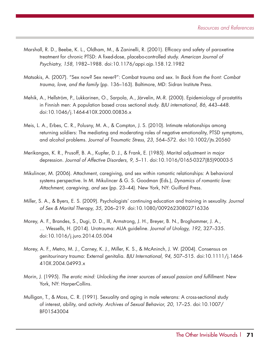- Marshall, R. D., Beebe, K. L., Oldham, M., & Zaninelli, R. (2001). Efficacy and safety of paroxetine treatment for chronic PTSD: A fixed-dose, placebo-controlled study. American Journal of Psychiatry, 158, 1982–1988. doi:10.1176/appi.ajp.158.12.1982
- Matsakis, A. (2007). "Sex now? Sex never?": Combat trauma and sex. In Back from the front: Combat trauma, love, and the family (pp. 136–163). Baltimore, MD: Sidran Institute Press.
- Mehik, A., Hellström, P., Lukkarinen, O., Sarpola, A., Järvelin, M.-R. (2000). Epidemiology of prostatitis in Finnish men: A population based cross sectional study. BJU international, 86, 443–448. doi:10.1046/j.1464-410X.2000.00836.x
- Meis, L. A., Erbes, C. R., Polusny, M. A., & Compton, J. S. (2010). Intimate relationships among returning soldiers: The mediating and moderating roles of negative emotionality, PTSD symptoms, and alcohol problems. Journal of Traumatic Stress, 23, 564–572. doi:10.1002/jts.20560
- Merikangas, K. R., Prusoff, B. A., Kupfer, D. J., & Frank, E. (1985). Marital adjustment in major depression. Journal of Affective Disorders, 9, 5–11. doi:10.1016/0165-0327(85)90003-5
- Mikulincer, M. (2006). Attachment, caregiving, and sex within romantic relationships: A behavioral systems perspective. In M. Mikulincer & G. S. Goodman (Eds.), Dynamics of romantic love: Attachment, caregiving, and sex (pp. 23–44). New York, NY: Guilford Press.
- Miller, S. A., & Byers, E. S. (2009). Psychologists' continuing education and training in sexuality. Journal of Sex & Marital Therapy, 35, 206–219. doi:10.1080/00926230802716336
- Morey, A. F., Brandes, S., Dugi, D. D., III, Armstrong, J. H., Breyer, B. N., Broghammer, J. A., … Wessells, H. (2014). Urotrauma: AUA guideline. Journal of Urology, 192, 327–335. doi:10.1016/j.juro.2014.05.004
- Morey, A. F., Metro, M. J., Carney, K. J., Miller, K. S., & McAninch, J. W. (2004). Consensus on genitourinary trauma: External genitalia. BJU International, 94, 507–515. doi:10.1111/j.1464- 410X.2004.04993.x
- Morin, J. (1995). The erotic mind: Unlocking the inner sources of sexual passion and fulfillment. New York, NY: HarperCollins.
- Mulligan, T., & Moss, C. R. (1991). Sexuality and aging in male veterans: A cross-sectional study of interest, ability, and activity. Archives of Sexual Behavior, 20, 17–25. doi:10.1007/ BF01543004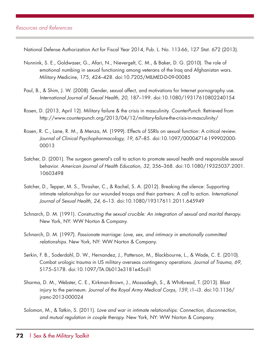National Defense Authorization Act for Fiscal Year 2014, Pub. L. No. 113-66, 127 Stat. 672 (2013).

- Nunnink, S. E., Goldwaser, G., Afari, N., Nievergelt, C. M., & Baker, D. G. (2010). The role of emotional numbing in sexual functioning among veterans of the Iraq and Afghanistan wars. Military Medicine, 175, 424–428. doi:10.7205/MILMED-D-09-00085
- Paul, B., & Shim, J. W. (2008). Gender, sexual affect, and motivations for Internet pornography use. International Journal of Sexual Health, 20, 187–199. doi:10.1080/19317610802240154
- Rosen, D. (2013, April 12). Military failure & the crisis in masculinity. CounterPunch. Retrieved from http://www.counterpunch.org/2013/04/12/military-failure-the-crisis-in-masculinity/
- Rosen, R. C., Lane, R. M., & Menza, M. (1999). Effects of SSRIs on sexual function: A critical review. Journal of Clinical Psychopharmacology, 19, 67–85. doi:10.1097/00004714-199902000- 00013
- Satcher, D. (2001). The surgeon general's call to action to promote sexual health and responsible sexual behavior. American Journal of Health Education, 32, 356–368. doi:10.1080/19325037.2001. 10603498
- Satcher, D., Tepper, M. S., Thrasher, C., & Rachel, S. A. (2012). Breaking the silence: Supporting intimate relationships for our wounded troops and their partners: A call to action. International Journal of Sexual Health, 24, 6–13. doi:10.1080/19317611.2011.645949
- Schnarch, D. M. (1991). Constructing the sexual crucible: An integration of sexual and marital therapy. New York, NY: WW Norton & Company.
- Schnarch, D. M. (1997). Passionate marriage: Love, sex, and intimacy in emotionally committed relationships. New York, NY: WW Norton & Company.
- Serkin, F. B., Soderdahl, D. W., Hernandez, J., Patterson, M., Blackbourne, L., & Wade, C. E. (2010). Combat urologic trauma in US military overseas contingency operations. Journal of Trauma, 69, S175–S178. doi:10.1097/TA.0b013e3181e45cd1
- Sharma, D. M., Webster, C. E., Kirkman-Brown, J., Mossadegh, S., & Whitbread, T. (2013). Blast injury to the perineum. Journal of the Royal Army Medical Corps, 159, i1–i3. doi:10.1136/ jramc-2013-000024
- Solomon, M., & Tatkin, S. (2011). Love and war in intimate relationships: Connection, disconnection, and mutual regulation in couple therapy. New York, NY: WW Norton & Company.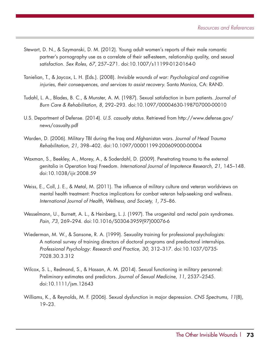- Stewart, D. N., & Szymanski, D. M. (2012). Young adult women's reports of their male romantic partner's pornography use as a correlate of their self-esteem, relationship quality, and sexual satisfaction. Sex Roles, 67, 257–271. doi:10.1007/s11199-012-0164-0
- Tanielian, T., & Jaycox, L. H. (Eds.). (2008). Invisible wounds of war: Psychological and cognitive injuries, their consequences, and services to assist recovery. Santa Monica, CA: RAND.
- Tudahl, L. A., Blades, B. C., & Munster, A. M. (1987). Sexual satisfaction in burn patients. Journal of Burn Care & Rehabilitation, 8, 292–293. doi:10.1097/00004630-198707000-00010
- U.S. Department of Defense. (2014). U.S. casualty status. Retrieved from http://www.defense.gov/ news/casualty.pdf
- Warden, D. (2006). Military TBI during the Iraq and Afghanistan wars. Journal of Head Trauma Rehabilitation, 21, 398–402. doi:10.1097/00001199-200609000-00004
- Waxman, S., Beekley, A., Morey, A., & Soderdahl, D. (2009). Penetrating trauma to the external genitalia in Operation Iraqi Freedom. International Journal of Impotence Research, 21, 145–148. doi:10.1038/ijir.2008.59
- Weiss, E., Coll, J. E., & Metal, M. (2011). The influence of military culture and veteran worldviews on mental health treatment: Practice implications for combat veteran help-seeking and wellness. International Journal of Health, Wellness, and Society, 1, 75–86.
- Wesselmann, U., Burnett, A. L., & Heinberg, L. J. (1997). The urogenital and rectal pain syndromes. Pain, 73, 269–294. doi:10.1016/S0304-3959(97)00076-6
- Wiederman, M. W., & Sansone, R. A. (1999). Sexuality training for professional psychologists: A national survey of training directors of doctoral programs and predoctoral internships. Professional Psychology: Research and Practice, 30, 312–317. doi:10.1037/0735- 7028.30.3.312
- Wilcox, S. L., Redmond, S., & Hassan, A. M. (2014). Sexual functioning in military personnel: Preliminary estimates and predictors. Journal of Sexual Medicine, 11, 2537–2545. doi:10.1111/jsm.12643
- Williams, K., & Reynolds, M. F. (2006). Sexual dysfunction in major depression. CNS Spectrums, 11(8), 19–23.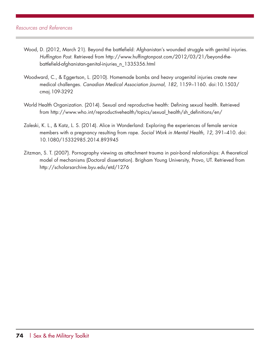- Wood, D. (2012, March 21). Beyond the battlefield: Afghanistan's wounded struggle with genital injuries. Huffington Post. Retrieved from http://www.huffingtonpost.com/2012/03/21/beyond-thebattlefield-afghanistan-genital-injuries\_n\_1335356.html
- Woodward, C., & Eggertson, L. (2010). Homemade bombs and heavy urogenital injuries create new medical challenges. Canadian Medical Association Journal, 182, 1159–1160. doi:10.1503/ cmaj.109-3292
- World Health Organization. (2014). Sexual and reproductive health: Defining sexual health. Retrieved from http://www.who.int/reproductivehealth/topics/sexual\_health/sh\_definitions/en/
- Zaleski, K. L., & Katz, L. S. (2014). Alice in Wonderland: Exploring the experiences of female service members with a pregnancy resulting from rape. Social Work in Mental Health, 12, 391–410. doi: 10.1080/15332985.2014.893945
- Zitzman, S. T. (2007). Pornography viewing as attachment trauma in pair-bond relationships: A theoretical model of mechanisms (Doctoral dissertation). Brigham Young University, Provo, UT. Retrieved from http://scholarsarchive.byu.edu/etd/1276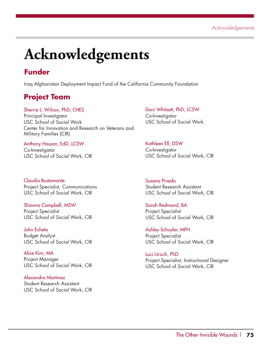*Acknowledgements*

# **Acknowledgements**

### **Funder**

Iraq Afghanistan Deployment Impact Fund of the California Community Foundation

#### **Project Team**

Sherrie L. Wilcox, PhD, CHES Principal Investigator USC School of Social Work Center for Innovation and Research on Veterans and Military Families (CIR)

Anthony Hassan, EdD, LCSW Co-Investigator USC School of Social Work, CIR

Claudia Bustamante Project Specialist, Communications USC School of Social Work, CIR

#### Shawna Campbell, MSW Project Specialist USC School of Social Work, CIR

John Echeto Budget Analyst USC School of Social Work, CIR

Alice Kim, MA Project Manager USC School of Social Work, CIR

Alexandra Martinez Student Research Assistant USC School of Social Work, CIR Doni Whitsett, PhD, LCSW Co-Investigator USC School of Social Work

Kathleen Ell, DSW Co-Investigator USC School of Social Work, CIR

Susana Pineda Student Research Assistant USC School of Social Work, CIR

Sarah Redmond, BA Project Specialist USC School of Social Work, CIR

Ashley Schuyler, MPH Project Specialist USC School of Social Work, CIR

Luci Ursich, PhD Project Specialist, Instructional Designer USC School of Social Work, CIR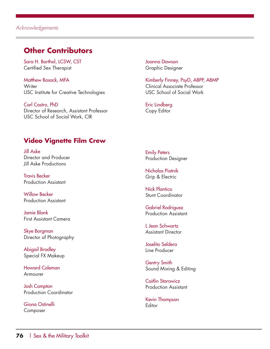#### **Other Contributors**

Sara H. Barthol, LCSW, CST Certified Sex Therapist

Matthew Bosack, MFA **Writer** USC Institute for Creative Technologies

Carl Castro, PhD Director of Research, Assistant Professor USC School of Social Work, CIR

Joanna Dawson Graphic Designer

Kimberly Finney, PsyD, ABPP, ABMP Clinical Associate Professor USC School of Social Work

Eric Lindberg Copy Editor

#### **Video Vignette Film Crew**

Jill Aske Director and Producer Jill Aske Productions

Travis Becker Production Assistant

Willow Becker Production Assistant

Jamie Blank First Assistant Camera

Skye Borgman Director of Photography

Abigail Bradley Special FX Makeup

Howard Coleman Armourer

Josh Compton Production Coordinator

Giona Ostinelli Composer

Emily Peters Production Designer

Nicholas Piatnik Grip & Electric

Nick Plantico Stunt Coordinator

Gabriel Rodriguez Production Assistant

L Jean Schwartz Assistant Director

Joselito Seldera Line Producer

Gentry Smith Sound Mixing & Editing

Caitlin Starowicz Production Assistant

Kevin Thompson **Editor**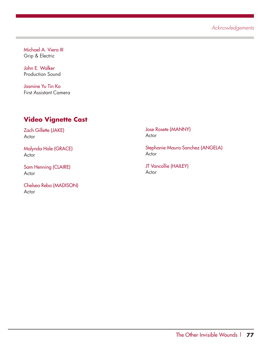*Acknowledgements*

Michael A. Viera III Grip & Electric

John E. Walker Production Sound

Jasmine Yu Tin Ko First Assistant Camera

#### **Video Vignette Cast**

Zach Gillette (JAKE) Actor

Malynda Hale (GRACE) Actor

Sam Henning (CLAIRE) Actor

Chelsea Reba (MADISON) Actor

Jose Rosete (MANNY) Actor

Stephanie Maura Sanchez (ANGELA) Actor

JT Vancollie (HAILEY) Actor